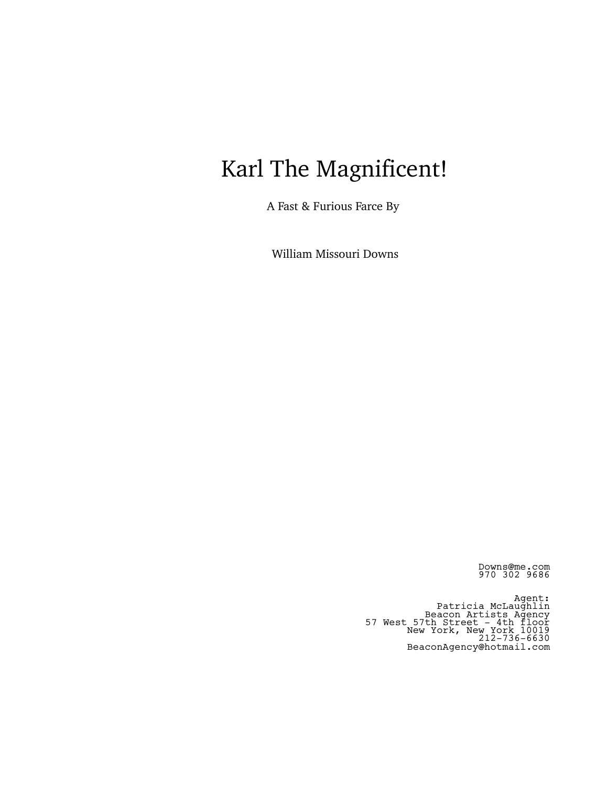# Karl The Magnificent!

A Fast & Furious Farce By

William Missouri Downs

Downs@me.com 970 302 9686

Agent: Patricia McLaughlin Beacon Artists Agency 57 West 57th Street - 4th floor New York, New York 10019 212-736-6630 BeaconAgency@hotmail.com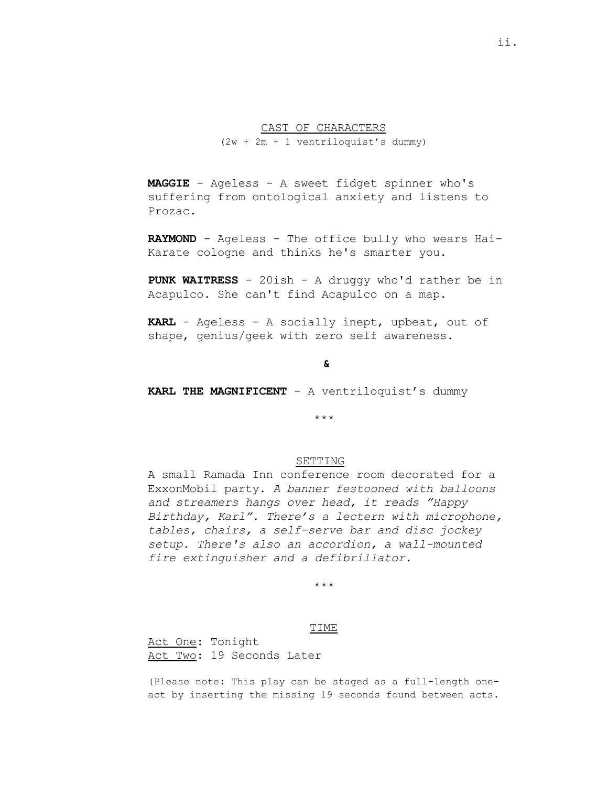# CAST OF CHARACTERS (2w + 2m + 1 ventriloquist's dummy)

**MAGGIE** - Ageless - A sweet fidget spinner who's suffering from ontological anxiety and listens to Prozac.

**RAYMOND** - Ageless - The office bully who wears Hai-Karate cologne and thinks he's smarter you.

**PUNK WAITRESS** - 20ish - A druggy who'd rather be in Acapulco. She can't find Acapulco on a map.

**KARL** - Ageless - A socially inept, upbeat, out of shape, genius/geek with zero self awareness.

# **&**

**KARL THE MAGNIFICENT** - A ventriloquist's dummy

\*\*\*

# SETTING

A small Ramada Inn conference room decorated for a ExxonMobil party. *A banner festooned with balloons and streamers hangs over head, it reads "Happy Birthday, Karl". There's a lectern with microphone, tables, chairs, a self-serve bar and disc jockey setup. There's also an accordion, a wall-mounted fire extinguisher and a defibrillator.*

# \*\*\*

#### TIME

Act One: Tonight Act Two: 19 Seconds Later

(Please note: This play can be staged as a full-length oneact by inserting the missing 19 seconds found between acts.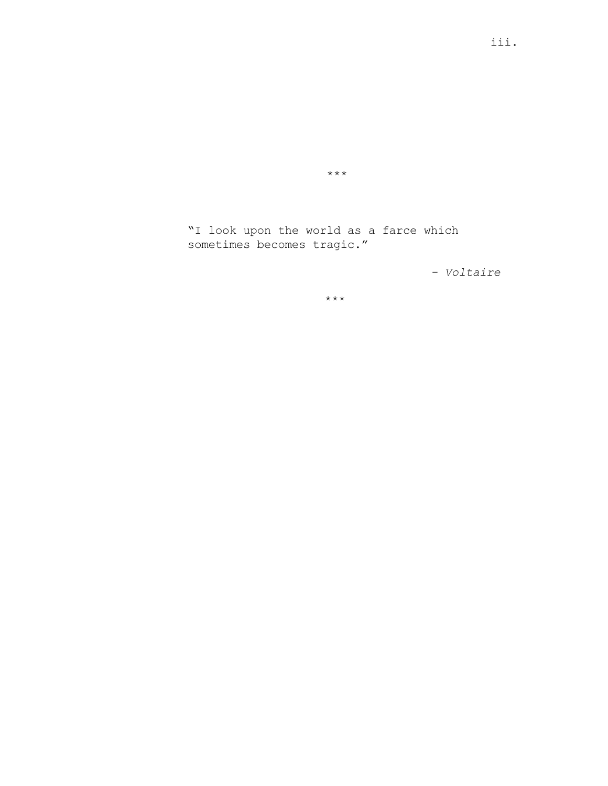"I look upon the world as a farce which sometimes becomes tragic."

\*\*\*

*- Voltaire*

\*\*\*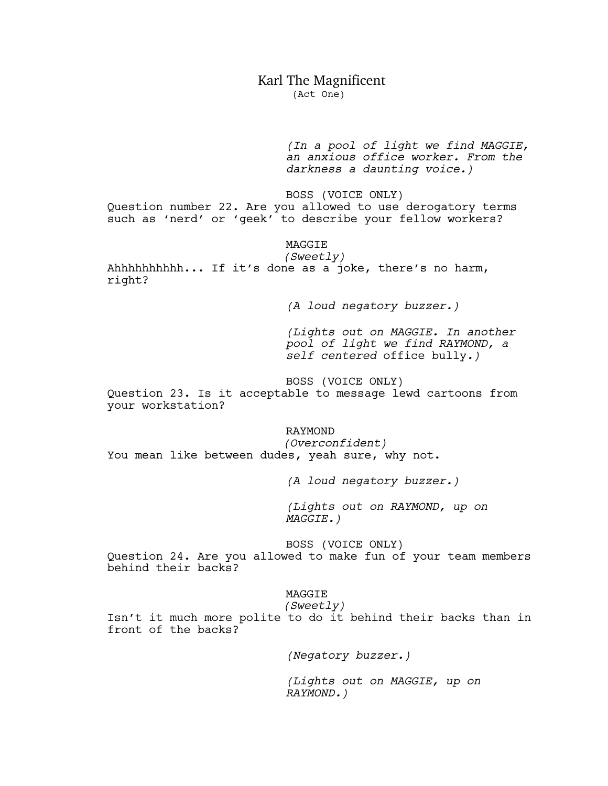# Karl The Magnificent

(Act One)

*(In a pool of light we find MAGGIE, an anxious office worker. From the darkness a daunting voice.)*

BOSS (VOICE ONLY) Question number 22. Are you allowed to use derogatory terms such as 'nerd' or 'geek' to describe your fellow workers?

MAGGIE

*(Sweetly)* Ahhhhhhhhhh... If it's done as a joke, there's no harm, right?

*(A loud negatory buzzer.)*

*(Lights out on MAGGIE. In another pool of light we find RAYMOND, a self centered* office bully*.)*

BOSS (VOICE ONLY)

Question 23. Is it acceptable to message lewd cartoons from your workstation?

RAYMOND

*(Overconfident)* You mean like between dudes, yeah sure, why not.

*(A loud negatory buzzer.)*

*(Lights out on RAYMOND, up on MAGGIE.)*

BOSS (VOICE ONLY)

Question 24. Are you allowed to make fun of your team members behind their backs?

# MAGGIE *(Sweetly)*

Isn't it much more polite to do it behind their backs than in front of the backs?

*(Negatory buzzer.)*

*(Lights out on MAGGIE, up on RAYMOND.)*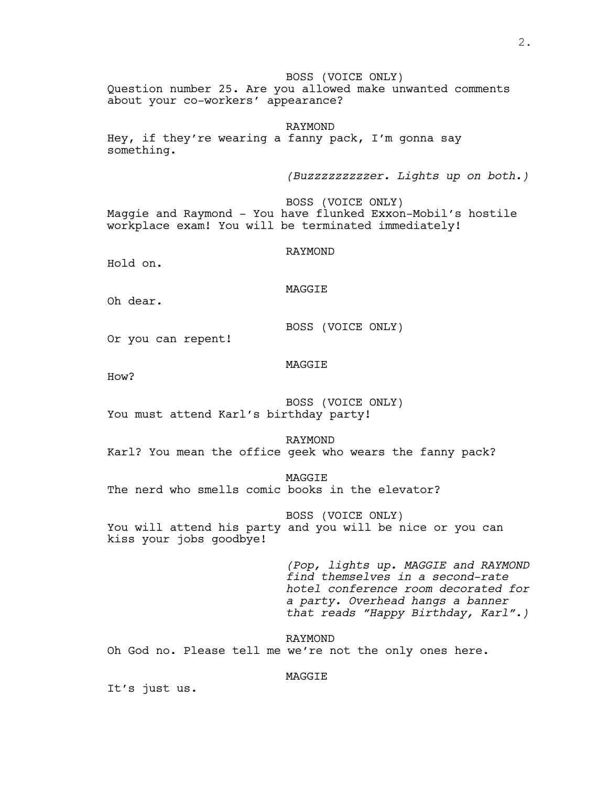BOSS (VOICE ONLY) Question number 25. Are you allowed make unwanted comments about your co-workers' appearance?

RAYMOND Hey, if they're wearing a fanny pack, I'm gonna say something.

*(Buzzzzzzzzzer. Lights up on both.)*

BOSS (VOICE ONLY) Maggie and Raymond - You have flunked Exxon-Mobil's hostile workplace exam! You will be terminated immediately!

RAYMOND

Hold on.

MAGGIE

Oh dear.

BOSS (VOICE ONLY)

Or you can repent!

# MAGGIE

How?

BOSS (VOICE ONLY) You must attend Karl's birthday party!

RAYMOND

Karl? You mean the office geek who wears the fanny pack?

MAGGIE

The nerd who smells comic books in the elevator?

BOSS (VOICE ONLY)

You will attend his party and you will be nice or you can kiss your jobs goodbye!

> *(Pop, lights up. MAGGIE and RAYMOND find themselves in a second-rate hotel conference room decorated for a party. Overhead hangs a banner that reads "Happy Birthday, Karl".)*

RAYMOND Oh God no. Please tell me we're not the only ones here.

# MAGGIE

It's just us.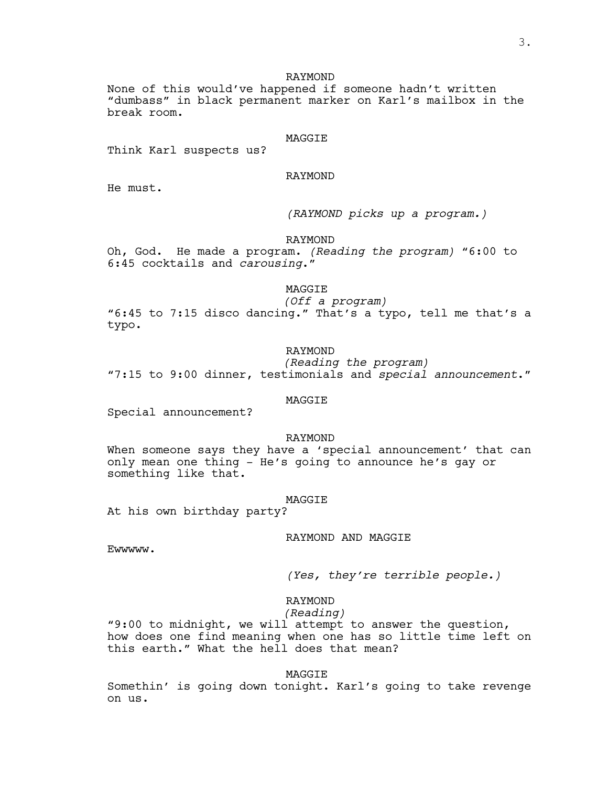# RAYMOND

None of this would've happened if someone hadn't written "dumbass" in black permanent marker on Karl's mailbox in the break room.

#### MAGGIE

Think Karl suspects us?

# RAYMOND

He must.

*(RAYMOND picks up a program.)*

# RAYMOND

Oh, God. He made a program. *(Reading the program)* "6:00 to 6:45 cocktails and *carousing*."

# MAGGIE

*(Off a program)*

"6:45 to 7:15 disco dancing." That's a typo, tell me that's a typo.

# RAYMOND

*(Reading the program)* "7:15 to 9:00 dinner, testimonials and *special announcement*."

#### MAGGIE

Special announcement?

# RAYMOND

When someone says they have a 'special announcement' that can only mean one thing - He's going to announce he's gay or something like that.

#### MAGGIE

At his own birthday party?

# RAYMOND AND MAGGIE

Ewwwww.

*(Yes, they're terrible people.)*

# RAYMOND

*(Reading)*

"9:00 to midnight, we will attempt to answer the question, how does one find meaning when one has so little time left on this earth." What the hell does that mean?

MAGGIE

Somethin' is going down tonight. Karl's going to take revenge on us.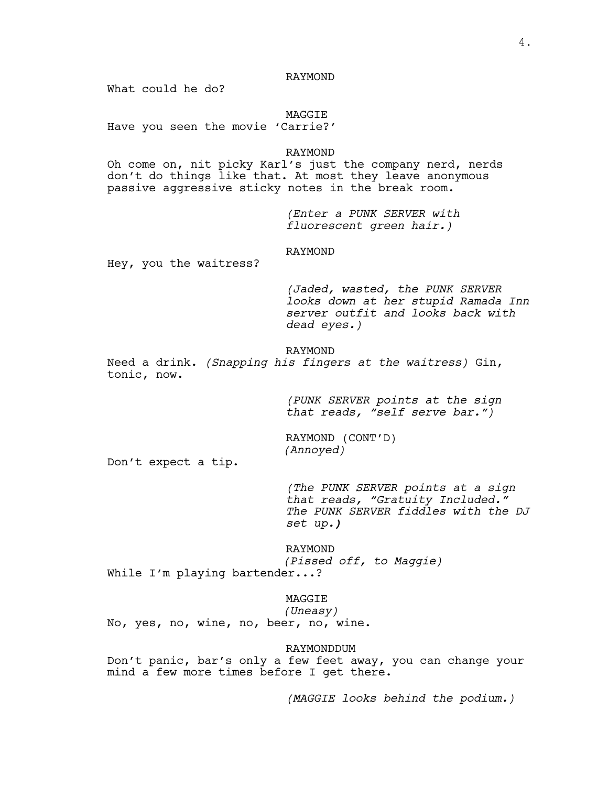# RAYMOND

What could he do?

MAGGIE

Have you seen the movie 'Carrie?'

# RAYMOND

Oh come on, nit picky Karl's just the company nerd, nerds don't do things like that. At most they leave anonymous passive aggressive sticky notes in the break room.

> *(Enter a PUNK SERVER with fluorescent green hair.)*

# RAYMOND

Hey, you the waitress?

*(Jaded, wasted, the PUNK SERVER looks down at her stupid Ramada Inn server outfit and looks back with dead eyes.)*

# RAYMOND

Need a drink. *(Snapping his fingers at the waitress)* Gin, tonic, now.

> *(PUNK SERVER points at the sign that reads, "self serve bar.")*

RAYMOND (CONT'D) *(Annoyed)*

Don't expect a tip.

*(The PUNK SERVER points at a sign that reads, "Gratuity Included." The PUNK SERVER fiddles with the DJ set up.)*

RAYMOND *(Pissed off, to Maggie)* While I'm playing bartender...?

MAGGIE

*(Uneasy)* No, yes, no, wine, no, beer, no, wine.

RAYMONDDUM

Don't panic, bar's only a few feet away, you can change your mind a few more times before I get there.

*(MAGGIE looks behind the podium.)*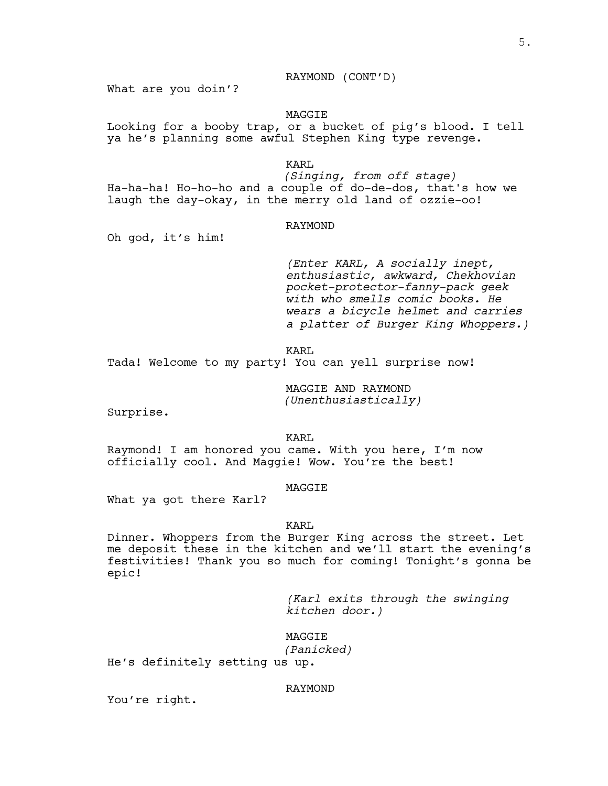# RAYMOND (CONT'D)

What are you doin'?

# MAGGIE

Looking for a booby trap, or a bucket of pig's blood. I tell ya he's planning some awful Stephen King type revenge.

# KARL

*(Singing, from off stage)* Ha-ha-ha! Ho-ho-ho and a couple of do-de-dos, that's how we laugh the day-okay, in the merry old land of ozzie-oo!

# RAYMOND

Oh god, it's him!

*(Enter KARL, <sup>A</sup> socially inept, enthusiastic, awkward, Chekhovian pocket-protector-fanny-pack geek with who smells comic books. He wears a bicycle helmet and carries a platter of Burger King Whoppers.)*

KARL

Tada! Welcome to my party! You can yell surprise now!

MAGGIE AND RAYMOND *(Unenthusiastically)*

Surprise.

KARL

Raymond! I am honored you came. With you here, I'm now officially cool. And Maggie! Wow. You're the best!

# **MAGGTE**

What ya got there Karl?

# KARL

Dinner. Whoppers from the Burger King across the street. Let me deposit these in the kitchen and we'll start the evening's festivities! Thank you so much for coming! Tonight's gonna be epic!

> *(Karl exits through the swinging kitchen door.)*

MAGGIE

*(Panicked)*

He's definitely setting us up.

# RAYMOND

You're right.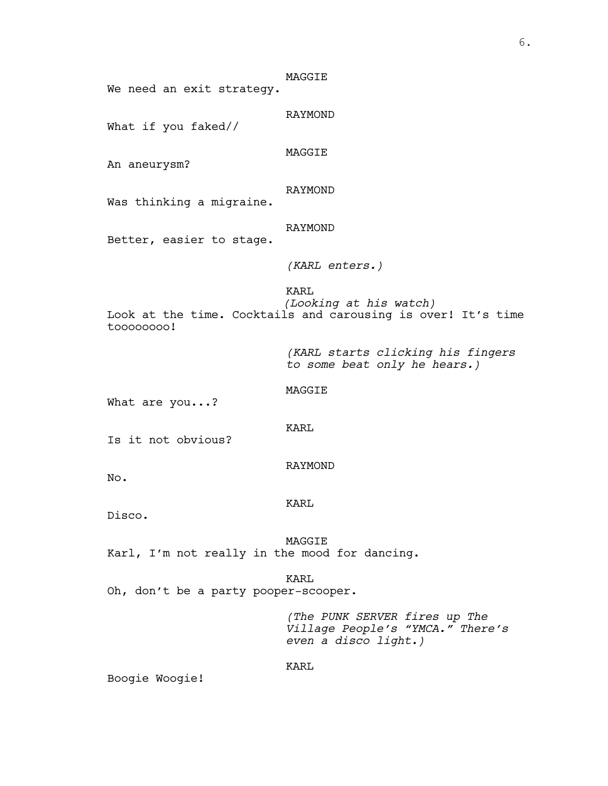| We need an exit strategy.                     | MAGGIE                                                                                         |
|-----------------------------------------------|------------------------------------------------------------------------------------------------|
| What if you faked//                           | RAYMOND                                                                                        |
| An aneurysm?                                  | MAGGIE                                                                                         |
| Was thinking a migraine.                      | RAYMOND                                                                                        |
| Better, easier to stage.                      | RAYMOND                                                                                        |
|                                               | $(KARL$ enters.)                                                                               |
| toooooooo!                                    | KARL<br>(Looking at his watch)<br>Look at the time. Cocktails and carousing is over! It's time |
|                                               | (KARL starts clicking his fingers<br>to some beat only he hears.)                              |
| What are you?                                 | MAGGIE                                                                                         |
| Is it not obvious?                            | KARL                                                                                           |
| No.                                           | RAYMOND                                                                                        |
| Disco.                                        | KARL                                                                                           |
| Karl, I'm not really in the mood for dancing. | MAGGIE                                                                                         |
| Oh, don't be a party pooper-scooper.          | KARL                                                                                           |
|                                               | (The PUNK SERVER fires up The                                                                  |

*Village People's "YMCA." There's even a disco light.)*

KARL

Boogie Woogie!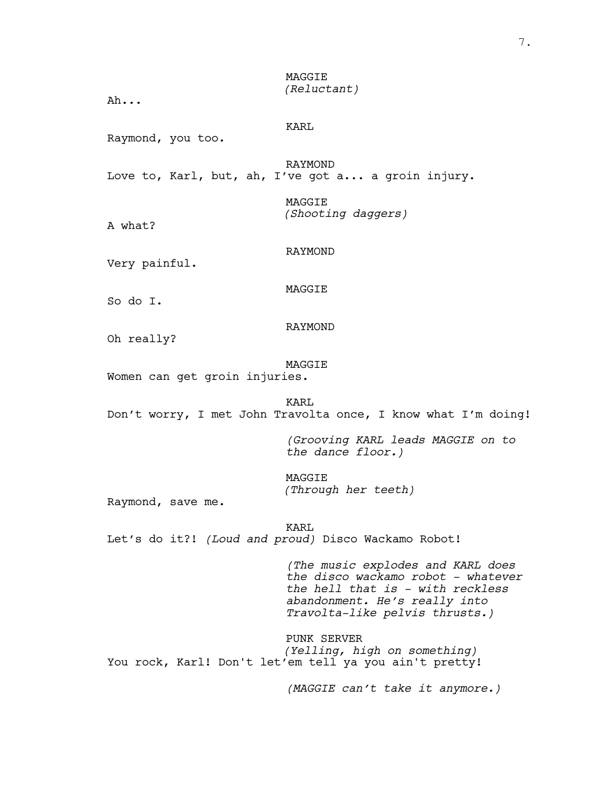# MAGGIE *(Reluctant)*

Ah...

KARL

Raymond, you too.

RAYMOND Love to, Karl, but, ah, I've got a... a groin injury.

> MAGGIE *(Shooting daggers)*

A what?

RAYMOND

Very painful.

MAGGIE

So do I.

RAYMOND

Oh really?

MAGGIE

Women can get groin injuries.

KART. Don't worry, I met John Travolta once, I know what I'm doing!

> *(Grooving KARL leads MAGGIE on to the dance floor.)*

MAGGIE *(Through her teeth)*

Raymond, save me.

KARL Let's do it?! *(Loud and proud)* Disco Wackamo Robot!

> *(The music explodes and KARL does the disco wackamo robot - whatever the hell that is - with reckless abandonment. He's really into Travolta-like pelvis thrusts.)*

PUNK SERVER *(Yelling, high on something)* You rock, Karl! Don't let'em tell ya you ain't pretty!

*(MAGGIE can't take it anymore.)*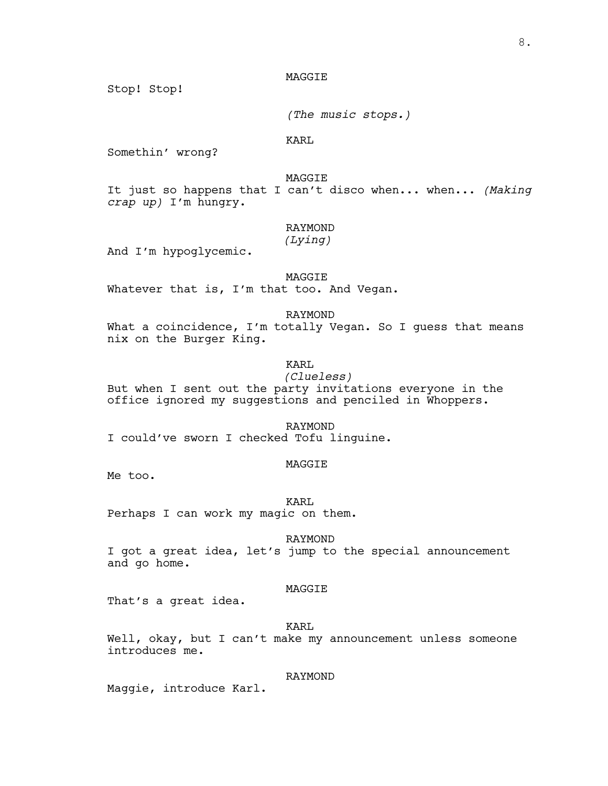# MAGGIE

Stop! Stop!

*(The music stops.)*

KARL

Somethin' wrong?

MAGGIE

It just so happens that I can't disco when... when... *(Making crap up)* I'm hungry.

# RAYMOND

*(Lying)*

And I'm hypoglycemic.

MAGGIE Whatever that is, I'm that too. And Vegan.

RAYMOND What a coincidence, I'm totally Vegan. So I guess that means nix on the Burger King.

# KARL

*(Clueless)*

But when I sent out the party invitations everyone in the office ignored my suggestions and penciled in Whoppers.

RAYMOND I could've sworn I checked Tofu linguine.

# MAGGIE

Me too.

KARL Perhaps I can work my magic on them.

RAYMOND

I got a great idea, let's jump to the special announcement and go home.

# MAGGIE

That's a great idea.

KARL

Well, okay, but I can't make my announcement unless someone introduces me.

# RAYMOND

Maggie, introduce Karl.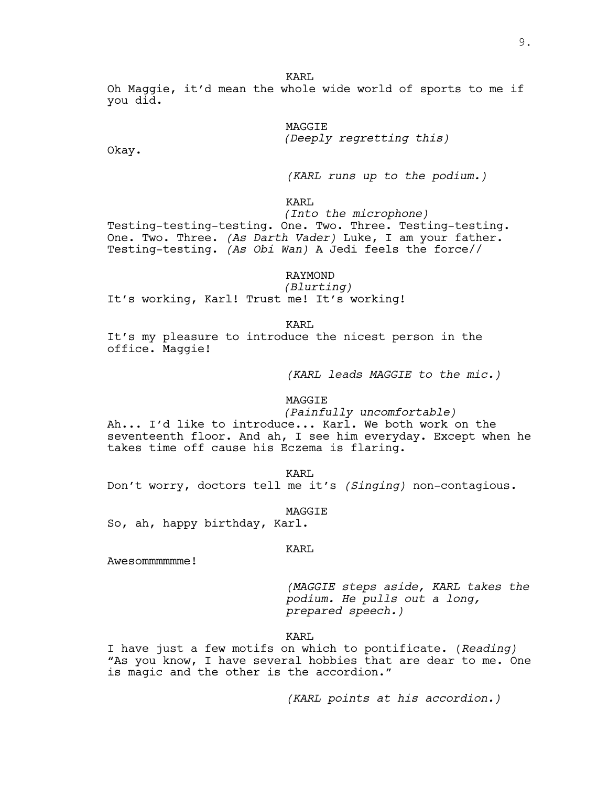Oh Maggie, it'd mean the whole wide world of sports to me if you did.

> MAGGIE *(Deeply regretting this)*

Okay.

*(KARL runs up to the podium.)*

KARL

*(Into the microphone)* Testing-testing-testing. One. Two. Three. Testing-testing. One. Two. Three. *(As Darth Vader)* Luke, I am your father. Testing-testing. *(As Obi Wan)* A Jedi feels the force//

RAYMOND

*(Blurting)* It's working, Karl! Trust me! It's working!

KART.

It's my pleasure to introduce the nicest person in the office. Maggie!

*(KARL leads MAGGIE to the mic.)*

#### MAGGIE

*(Painfully uncomfortable)*

Ah... I'd like to introduce... Karl. We both work on the seventeenth floor. And ah, I see him everyday. Except when he takes time off cause his Eczema is flaring.

KARL Don't worry, doctors tell me it's *(Singing)* non-contagious.

MAGGIE

So, ah, happy birthday, Karl.

#### KARL

Awesommmmmme!

*(MAGGIE steps aside, KARL takes the podium. He pulls out a long, prepared speech.)*

KARL

I have just a few motifs on which to pontificate. (*Reading)* "As you know, I have several hobbies that are dear to me. One is magic and the other is the accordion."

*(KARL points at his accordion.)*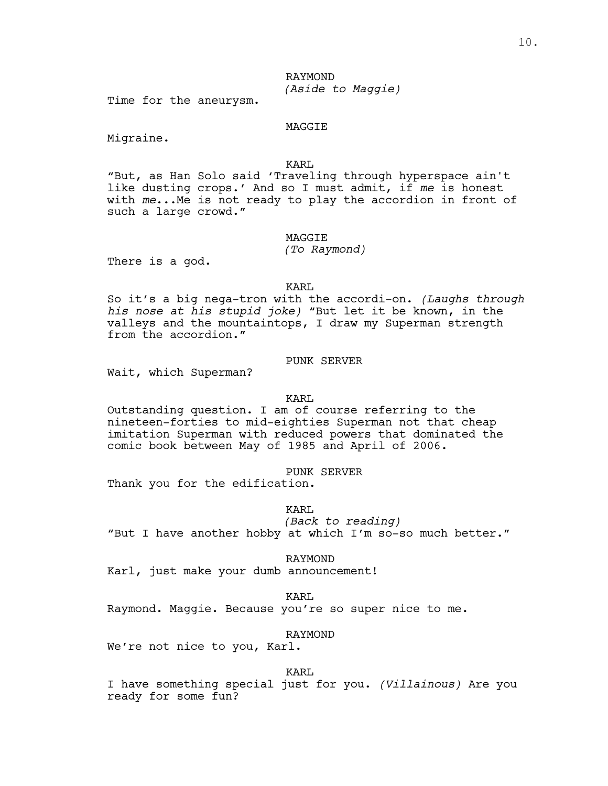# RAYMOND *(Aside to Maggie)*

Time for the aneurysm.

# MAGGIE

Migraine.

# KARL

"But, as Han Solo said 'Traveling through hyperspace ain't like dusting crops.' And so I must admit, if *me* is honest with *me*...Me is not ready to play the accordion in front of such a large crowd."

# MAGGIE

# *(To Raymond)*

There is a god.

#### KARL

So it's a big nega-tron with the accordi-on. *(Laughs through his nose at his stupid joke)* "But let it be known, in the valleys and the mountaintops, I draw my Superman strength from the accordion."

# PUNK SERVER

Wait, which Superman?

# KARL

Outstanding question. I am of course referring to the nineteen-forties to mid-eighties Superman not that cheap imitation Superman with reduced powers that dominated the comic book between May of 1985 and April of 2006.

#### PUNK SERVER

Thank you for the edification.

# KART.

*(Back to reading)* "But <sup>I</sup> have another hobby at which I'm so-so much better."

RAYMOND

Karl, just make your dumb announcement!

#### KARL

Raymond. Maggie. Because you're so super nice to me.

# RAYMOND

We're not nice to you, Karl.

# KARL

I have something special just for you. *(Villainous)* Are you ready for some fun?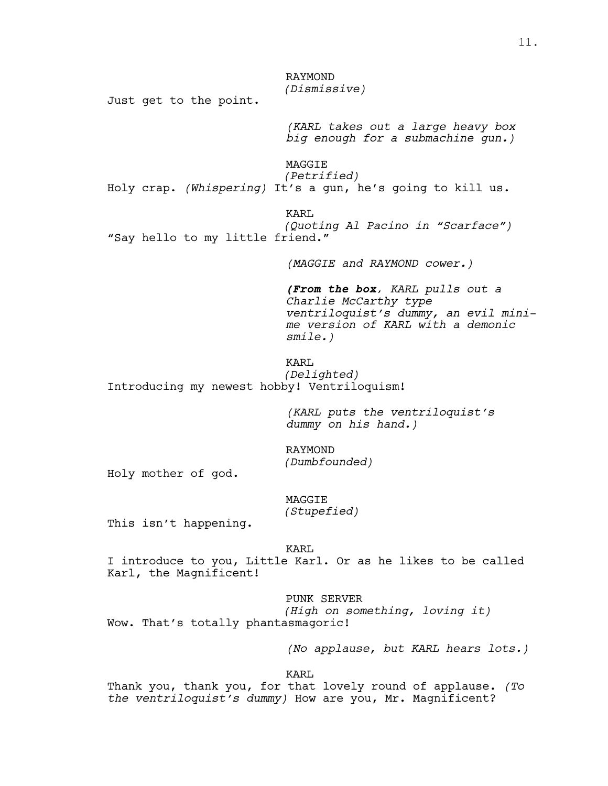RAYMOND *(Dismissive)*

Just get to the point.

*(KARL takes out a large heavy box big enough for a submachine gun.)*

MAGGIE *(Petrified)* Holy crap. *(Whispering)* It's a gun, he's going to kill us.

KARL

*(Quoting Al Pacino in "Scarface")* "Say hello to my little friend."

*(MAGGIE and RAYMOND cower.)*

*(From the box, KARL pulls out a Charlie McCarthy type ventriloquist's dummy, an evil minime version of KARL with a demonic smile.)*

KARL *(Delighted)* Introducing my newest hobby! Ventriloquism!

> *(KARL puts the ventriloquist's dummy on his hand.)*

RAYMOND *(Dumbfounded)*

Holy mother of god.

MAGGIE *(Stupefied)*

This isn't happening.

KARL

I introduce to you, Little Karl. Or as he likes to be called Karl, the Magnificent!

PUNK SERVER

*(High on something, loving it)* Wow. That's totally phantasmagoric!

*(No applause, but KARL hears lots.)*

KARL

Thank you, thank you, for that lovely round of applause. *(To the ventriloquist's dummy)* How are you, Mr. Magnificent?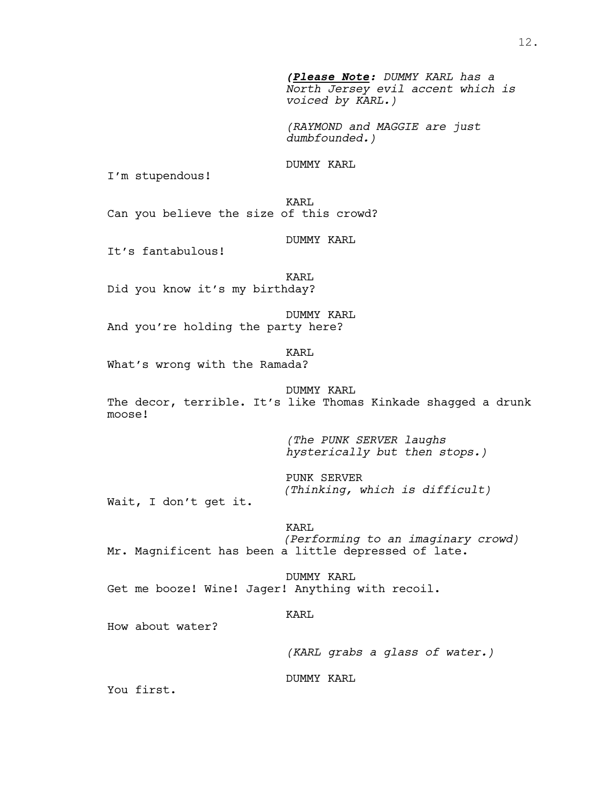*(Please Note: DUMMY KARL has a North Jersey evil accent which is voiced by KARL.)*

*(RAYMOND and MAGGIE are just dumbfounded.)*

DUMMY KARL

I'm stupendous!

KARL Can you believe the size of this crowd?

DUMMY KARL

It's fantabulous!

KARL Did you know it's my birthday?

DUMMY KARL And you're holding the party here?

KARL

What's wrong with the Ramada?

DUMMY KARL The decor, terrible. It's like Thomas Kinkade shagged a drunk moose!

> *(The PUNK SERVER laughs hysterically but then stops.)*

PUNK SERVER *(Thinking, which is difficult)*

Wait, I don't get it.

# KARL

*(Performing to an imaginary crowd)* Mr. Magnificent has been a little depressed of late.

DUMMY KARL Get me booze! Wine! Jager! Anything with recoil.

#### KARL

How about water?

*(KARL grabs a glass of water.)*

DUMMY KARL

You first.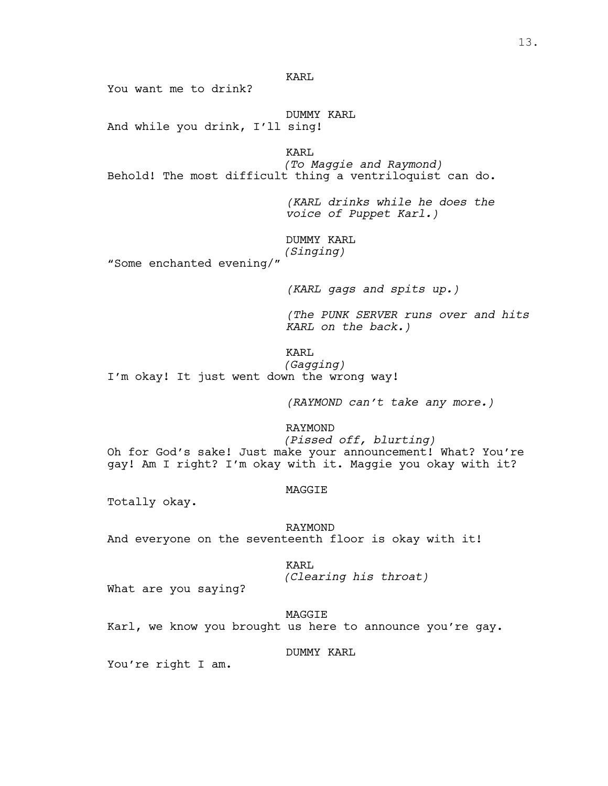You want me to drink?

DUMMY KARL And while you drink, I'll sing!

KARL

*(To Maggie and Raymond)* Behold! The most difficult thing a ventriloquist can do.

> *(KARL drinks while he does the voice of Puppet Karl.)*

# DUMMY KARL

*(Singing)* "Some enchanted evening/"

*(KARL gags and spits up.)*

*(The PUNK SERVER runs over and hits KARL on the back.)*

KARL

*(Gagging)* I'm okay! It just went down the wrong way!

*(RAYMOND can't take any more.)*

RAYMOND

*(Pissed off, blurting)* Oh for God's sake! Just make your announcement! What? You're gay! Am I right? I'm okay with it. Maggie you okay with it?

# MAGGIE

Totally okay.

RAYMOND

And everyone on the seventeenth floor is okay with it!

KARL

*(Clearing his throat)*

What are you saying?

MAGGIE

Karl, we know you brought us here to announce you're gay.

DUMMY KARL

You're right I am.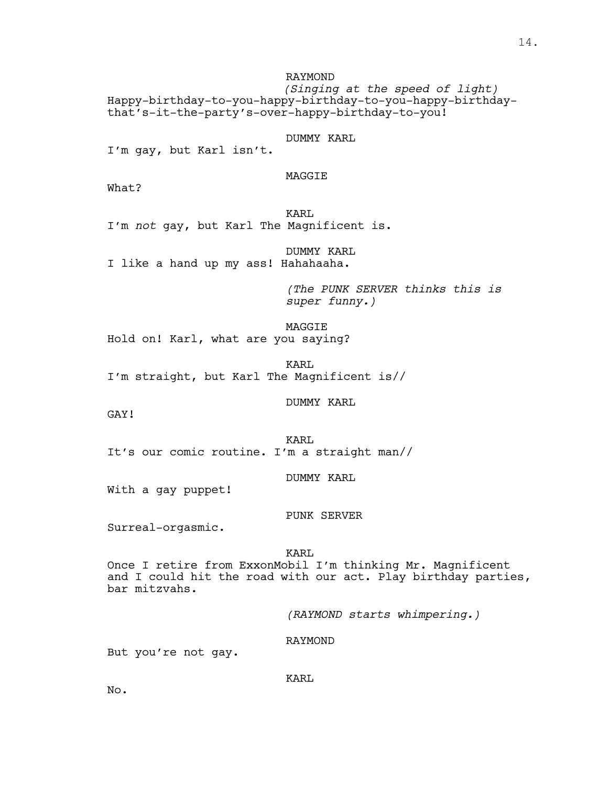RAYMOND *(Singing at the speed of light)* Happy-birthday-to-you-happy-birthday-to-you-happy-birthdaythat's-it-the-party's-over-happy-birthday-to-you!

DUMMY KARL

I'm gay, but Karl isn't.

MAGGIE

What?

KARL I'm *not* gay, but Karl The Magnificent is.

DUMMY KARL I like a hand up my ass! Hahahaaha.

> *(The PUNK SERVER thinks this is super funny.)*

MAGGIE Hold on! Karl, what are you saying?

KARL I'm straight, but Karl The Magnificent is//

DUMMY KARL

GAY!

KARL It's our comic routine. I'm a straight man//

DUMMY KARL

With a gay puppet!

PUNK SERVER

Surreal-orgasmic.

KARL

Once I retire from ExxonMobil I'm thinking Mr. Magnificent and I could hit the road with our act. Play birthday parties, bar mitzvahs.

*(RAYMOND starts whimpering.)*

RAYMOND

But you're not gay.

KARL

No.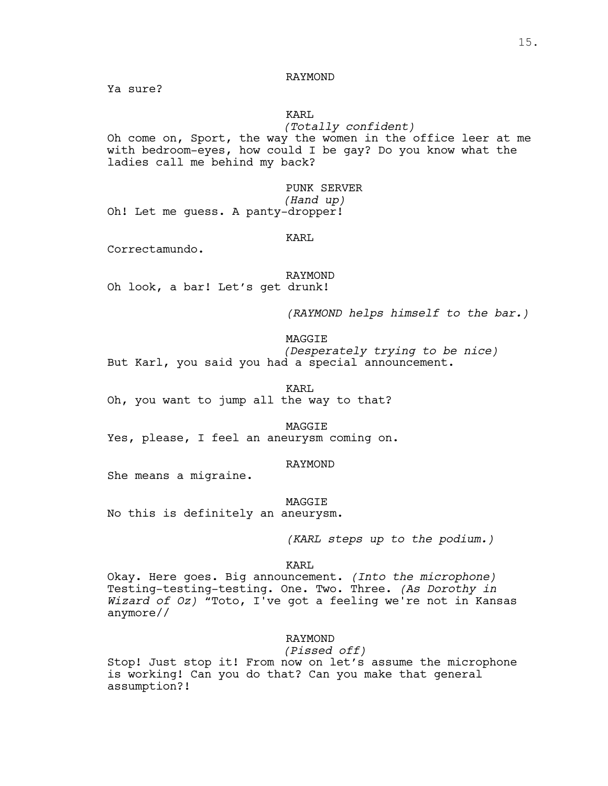RAYMOND

Ya sure?

# KARL

*(Totally confident)*

Oh come on, Sport, the way the women in the office leer at me with bedroom-eyes, how could I be gay? Do you know what the ladies call me behind my back?

> PUNK SERVER *(Hand up)*

Oh! Let me guess. A panty-dropper!

#### KARL

Correctamundo.

RAYMOND Oh look, a bar! Let's get drunk!

*(RAYMOND helps himself to the bar.)*

MAGGIE

*(Desperately trying to be nice)* But Karl, you said you had a special announcement.

KARL Oh, you want to jump all the way to that?

MAGGIE Yes, please, I feel an aneurysm coming on.

# RAYMOND

She means a migraine.

MAGGIE

No this is definitely an aneurysm.

*(KARL steps up to the podium.)*

# KARL

Okay. Here goes. Big announcement. *(Into the microphone)* Testing-testing-testing. One. Two. Three. *(As Dorothy in Wizard of Oz)* "Toto, I've got a feeling we're not in Kansas anymore//

# RAYMOND

# *(Pissed off)*

Stop! Just stop it! From now on let's assume the microphone is working! Can you do that? Can you make that general assumption?!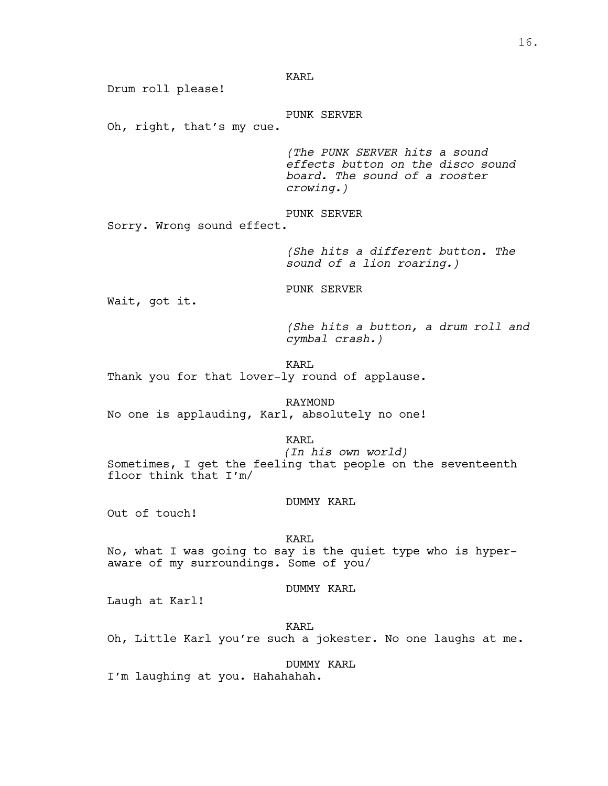Drum roll please!

# PUNK SERVER

Oh, right, that's my cue.

*(The PUNK SERVER hits a sound effects button on the disco sound board. The sound of a rooster crowing.)*

PUNK SERVER

Sorry. Wrong sound effect.

*(She hits a different button. The sound of a lion roaring.)*

PUNK SERVER

Wait, got it.

*(She hits a button, a drum roll and cymbal crash.)*

KARL

Thank you for that lover-ly round of applause.

RAYMOND No one is applauding, Karl, absolutely no one!

KARL

*(In his own world)* Sometimes, I get the feeling that people on the seventeenth floor think that I'm/

# DUMMY KARL

Out of touch!

KARL

No, what <sup>I</sup> was going to say is the quiet type who is hyper- aware of my surroundings. Some of you/

# DUMMY KARL

Laugh at Karl!

KARL Oh, Little Karl you're such a jokester. No one laughs at me.

DUMMY KARL

I'm laughing at you. Hahahahah.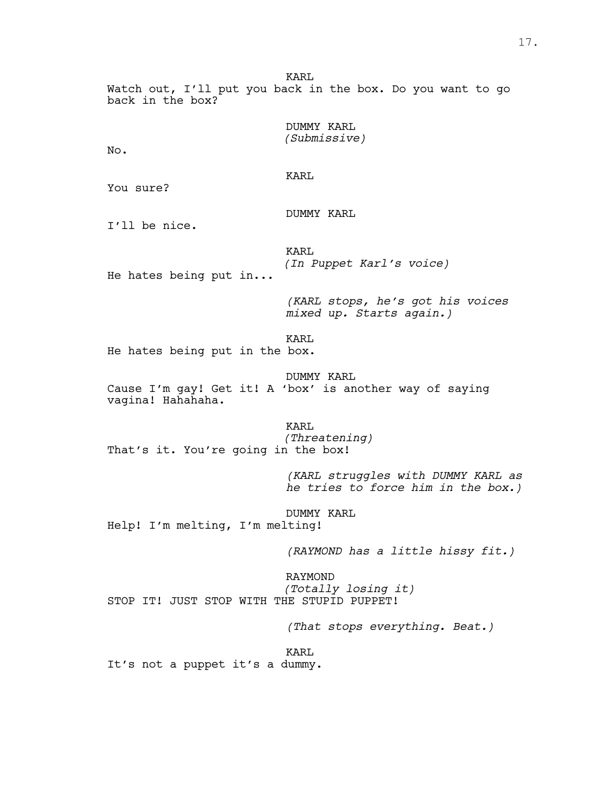Watch out, I'll put you back in the box. Do you want to go back in the box?

> DUMMY KARL *(Submissive)*

No.

KARL

You sure?

DUMMY KARL

I'll be nice.

KARL *(In Puppet Karl's voice)*

He hates being put in...

*(KARL stops, he's got his voices mixed up. Starts again.)*

KARL

He hates being put in the box.

DUMMY KARL

Cause I'm gay! Get it! A 'box' is another way of saying vagina! Hahahaha.

KARL

*(Threatening)* That's it. You're going in the box!

> *(KARL struggles with DUMMY KARL as he tries to force him in the box.)*

DUMMY KARL Help! I'm melting, I'm melting!

*(RAYMOND has a little hissy fit.)*

RAYMOND *(Totally losing it)* STOP IT! JUST STOP WITH THE STUPID PUPPET!

*(That stops everything. Beat.)*

KARL

It's not a puppet it's a dummy.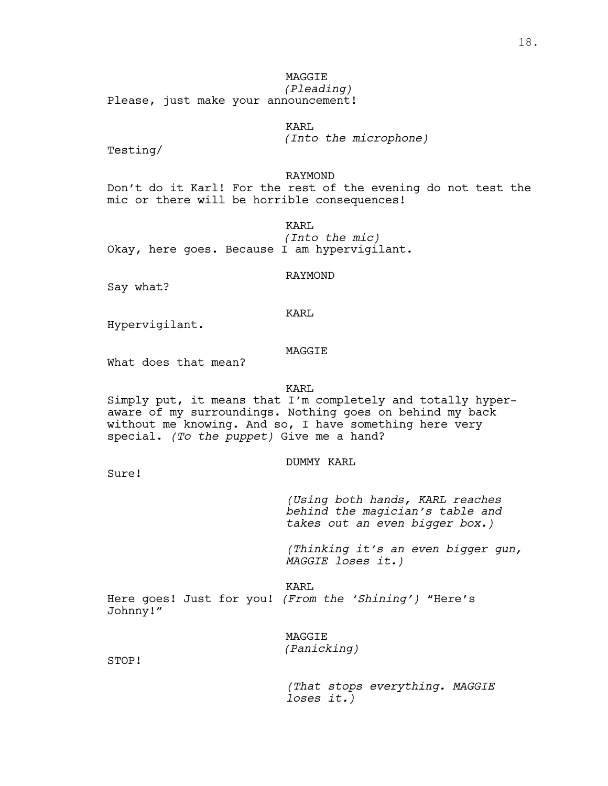MAGGIE *(Pleading)*

Please, just make your announcement!

KARL

*(Into the microphone)*

Testing/

RAYMOND

Don't do it Karl! For the rest of the evening do not test the mic or there will be horrible consequences!

> KARL *(Into the mic)*

Okay, here goes. Because I am hypervigilant.

RAYMOND

Say what?

KARL

Hypervigilant.

# MAGGIE

What does that mean?

KARL

Simply put, it means that I'm completely and totally hyper- aware of my surroundings. Nothing goes on behind my back without me knowing. And so, I have something here very special. *(To the puppet)* Give me a hand?

# DUMMY KARL

Sure!

*(Using both hands, KARL reaches behind the magician's table and takes out an even bigger box.)*

*(Thinking it's an even bigger gun, MAGGIE loses it.)*

KARL Here goes! Just for you! *(From the 'Shining')* "Here's Johnny!"

> MAGGIE *(Panicking)*

STOP!

*(That stops everything. MAGGIE loses it.)*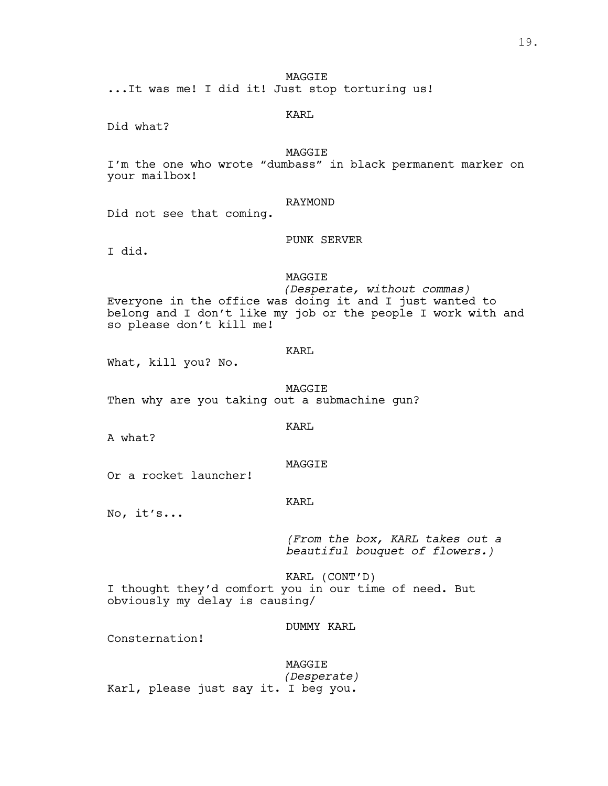MAGGIE

...It was me! I did it! Just stop torturing us!

# KARL

Did what?

# MAGGIE

I'm the one who wrote "dumbass" in black permanent marker on your mailbox!

# RAYMOND

Did not see that coming.

# PUNK SERVER

I did.

# MAGGIE

*(Desperate, without commas)* Everyone in the office was doing it and I just wanted to belong and I don't like my job or the people I work with and so please don't kill me!

# KARL

What, kill you? No.

MAGGIE

Then why are you taking out a submachine gun?

A what?

# MAGGIE

KARL

Or a rocket launcher!

# KARL

No, it's...

*(From the box, KARL takes out a beautiful bouquet of flowers.)*

KARL (CONT'D) I thought they'd comfort you in our time of need. But obviously my delay is causing/

DUMMY KARL

Consternation!

MAGGIE *(Desperate)* Karl, please just say it. I beg you.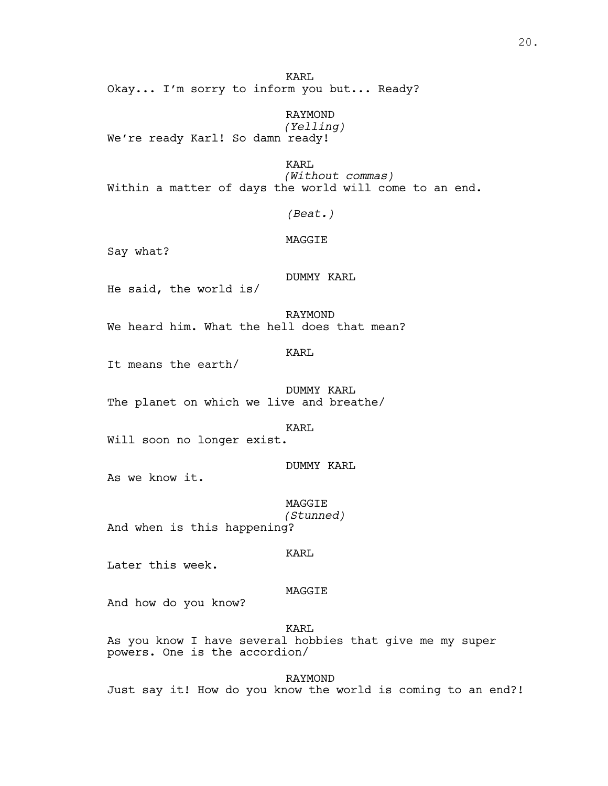KARL Okay... I'm sorry to inform you but... Ready?

RAYMOND *(Yelling)* We're ready Karl! So damn ready!

KARL *(Without commas)* Within a matter of days the world will come to an end.

*(Beat.)*

# MAGGIE

Say what?

# DUMMY KARL

He said, the world is/

RAYMOND We heard him. What the hell does that mean?

KARL

It means the earth/

DUMMY KARL The planet on which we live and breathe/

KARL

Will soon no longer exist.

# DUMMY KARL

As we know it.

MAGGIE *(Stunned)*

And when is this happening?

#### KARL

Later this week.

#### MAGGIE

And how do you know?

KARL As you know I have several hobbies that give me my super powers. One is the accordion/

RAYMOND Just say it! How do you know the world is coming to an end?!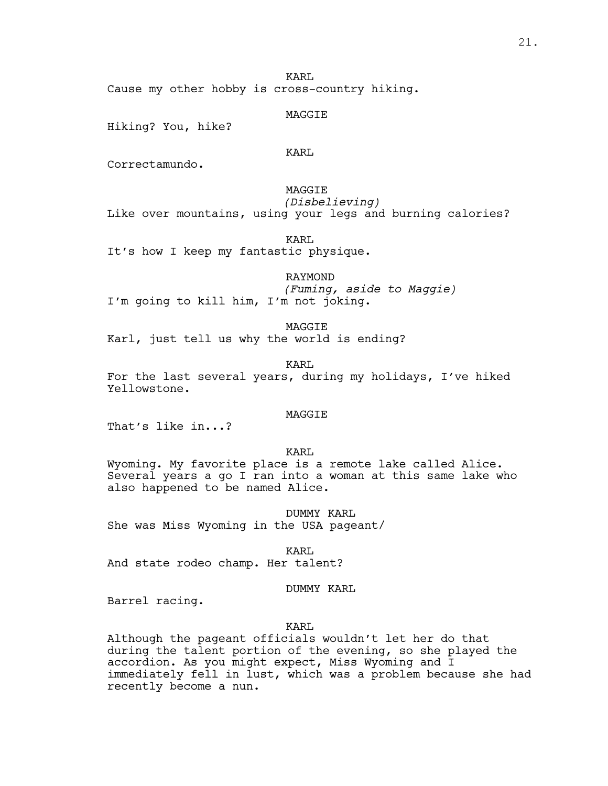Cause my other hobby is cross-country hiking.

MAGGIE

Hiking? You, hike?

# KARL

KARL

Correctamundo.

# MAGGIE *(Disbelieving)*

Like over mountains, using your legs and burning calories?

KARL

It's how I keep my fantastic physique.

RAYMOND *(Fuming, aside to Maggie)* I'm going to kill him, I'm not joking.

MAGGIE Karl, just tell us why the world is ending?

KARL For the last several years, during my holidays, I've hiked Yellowstone.

# MAGGIE

That's like in...?

KARL

Wyoming. My favorite place is a remote lake called Alice. Several years a go I ran into a woman at this same lake who also happened to be named Alice.

DUMMY KARL She was Miss Wyoming in the USA pageant/

KARL

And state rodeo champ. Her talent?

# DUMMY KARL

Barrel racing.

# KARL

Although the pageant officials wouldn't let her do that during the talent portion of the evening, so she played the accordion. As you might expect, Miss Wyoming and I immediately fell in lust, which was a problem because she had recently become a nun.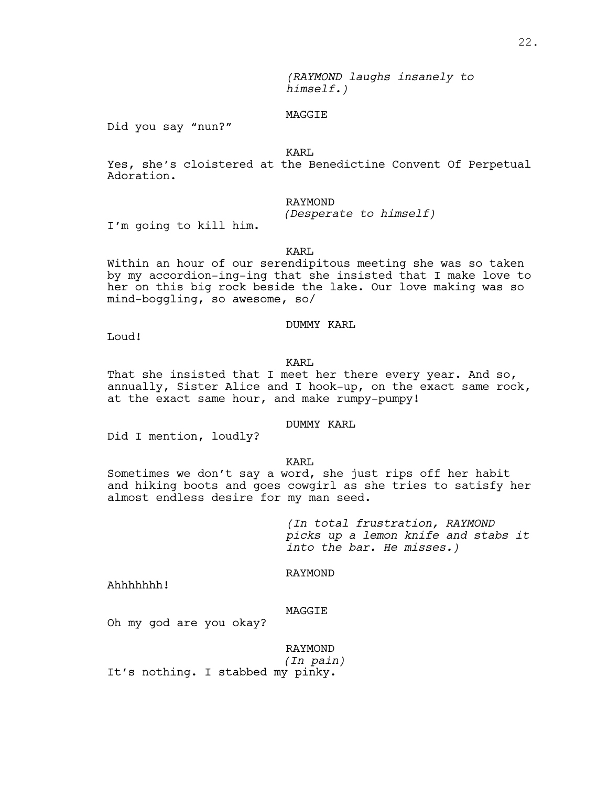*(RAYMOND laughs insanely to himself.)*

# MAGGIE

Did you say "nun?"

KARL

Yes, she's cloistered at the Benedictine Convent Of Perpetual Adoration.

# RAYMOND

*(Desperate to himself)*

I'm going to kill him.

# KARL

Within an hour of our serendipitous meeting she was so taken by my accordion-ing-ing that she insisted that I make love to her on this big rock beside the lake. Our love making was so mind-boggling, so awesome, so/

# DUMMY KARL

Loud!

# KARL

That she insisted that I meet her there every year. And so, annually, Sister Alice and I hook-up, on the exact same rock, at the exact same hour, and make rumpy-pumpy!

# DUMMY KARL

Did I mention, loudly?

# KART.

Sometimes we don't say a word, she just rips off her habit and hiking boots and goes cowgirl as she tries to satisfy her almost endless desire for my man seed.

> *(In total frustration, RAYMOND picks up a lemon knife and stabs it into the bar. He misses.)*

# RAYMOND

Ahhhhhhh!

# MAGGIE

Oh my god are you okay?

RAYMOND *(In pain)* It's nothing. I stabbed my pinky.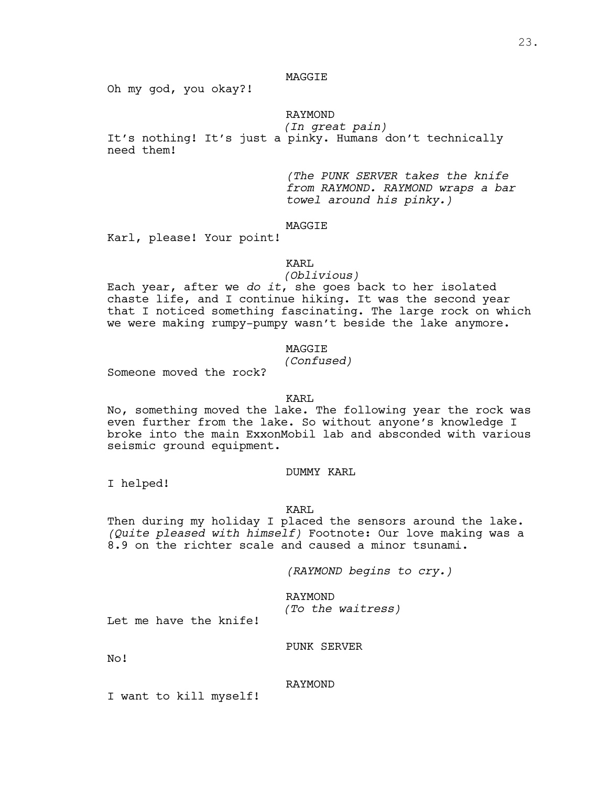# MAGGIE

Oh my god, you okay?!

# RAYMOND

*(In great pain)*

It's nothing! It's just a pinky. Humans don't technically need them!

> *(The PUNK SERVER takes the knife from RAYMOND. RAYMOND wraps a bar towel around his pinky.)*

# MAGGIE

Karl, please! Your point!

# KARL

# *(Oblivious)*

Each year, after we *do it*, she goes back to her isolated chaste life, and I continue hiking. It was the second year that I noticed something fascinating. The large rock on which we were making rumpy-pumpy wasn't beside the lake anymore.

# MAGGIE

# *(Confused)*

Someone moved the rock?

# KARL

No, something moved the lake. The following year the rock was even further from the lake. So without anyone's knowledge I broke into the main ExxonMobil lab and absconded with various seismic ground equipment.

# DUMMY KARL

I helped!

# KARL

Then during my holiday <sup>I</sup> placed the sensors around the lake. *(Quite pleased with himself)* Footnote: Our love making was <sup>a</sup> 8.9 on the richter scale and caused a minor tsunami.

*(RAYMOND begins to cry.)*

RAYMOND *(To the waitress)*

Let me have the knife!

# PUNK SERVER

No!

# RAYMOND

I want to kill myself!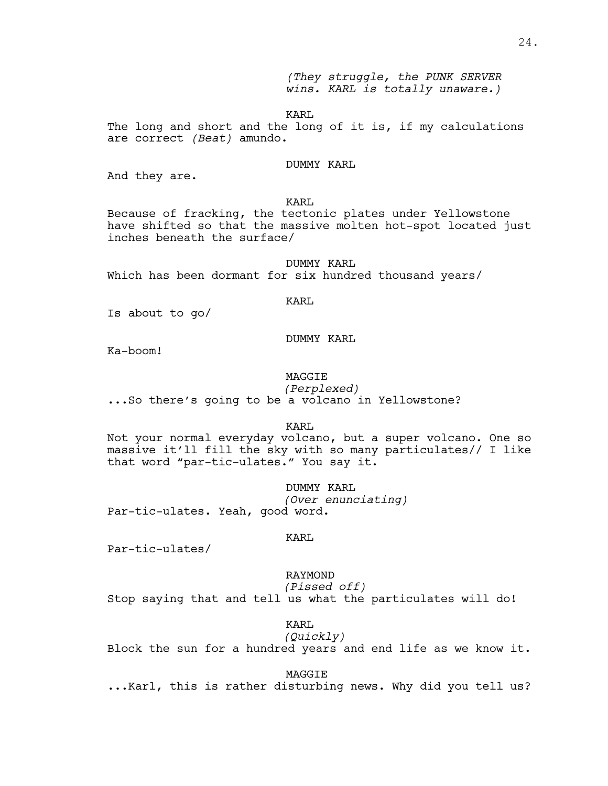*(They struggle, the PUNK SERVER wins. KARL is totally unaware.)*

KARL

The long and short and the long of it is, if my calculations are correct *(Beat)* amundo.

# DUMMY KARL

And they are.

KARL

Because of fracking, the tectonic plates under Yellowstone have shifted so that the massive molten hot-spot located just inches beneath the surface/

DUMMY KARL Which has been dormant for six hundred thousand years/

KARL

Is about to go/

# DUMMY KARL

Ka-boom!

# MAGGIE

*(Perplexed)* ...So there's going to be <sup>a</sup> volcano in Yellowstone?

KARL

Not your normal everyday volcano, but a super volcano. One so massive it'll fill the sky with so many particulates// I like that word "par-tic-ulates." You say it.

DUMMY KARL *(Over enunciating)* Par-tic-ulates. Yeah, good word.

#### KARL

Par-tic-ulates/

RAYMOND *(Pissed off)*

Stop saying that and tell us what the particulates will do!

KARL *(Quickly)*

Block the sun for a hundred years and end life as we know it.

MAGGIE<br>Ing news. Why did you tell us? wike this is rather disturbing news. Why did you tell us.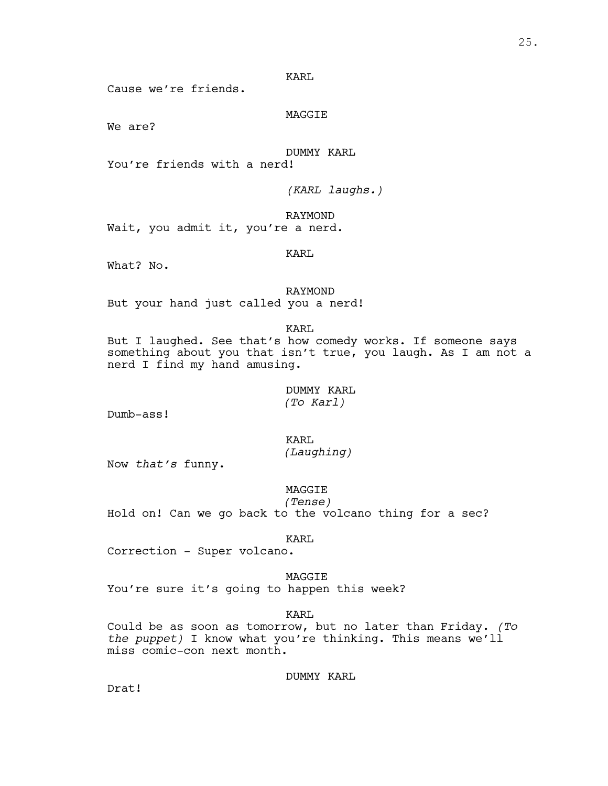Cause we're friends.

MAGGIE

We are?

DUMMY KARL

You're friends with a nerd!

*(KARL laughs.)*

RAYMOND Wait, you admit it, you're a nerd.

KARL

What? No.

RAYMOND But your hand just called you a nerd!

KARL

But I laughed. See that's how comedy works. If someone says something about you that isn't true, you laugh. As I am not a nerd I find my hand amusing.

> DUMMY KARL *(To Karl)*

Dumb-ass!

KARL *(Laughing)*

Now *that's* funny.

MAGGIE

*(Tense)* Hold on! Can we go back to the volcano thing for a sec?

KARL

Correction - Super volcano.

MAGGIE You're sure it's going to happen this week?

KARL

Could be as soon as tomorrow, but no later than Friday. *(To the puppet)* I know what you're thinking. This means we'll miss comic-con next month.

DUMMY KARL

Drat!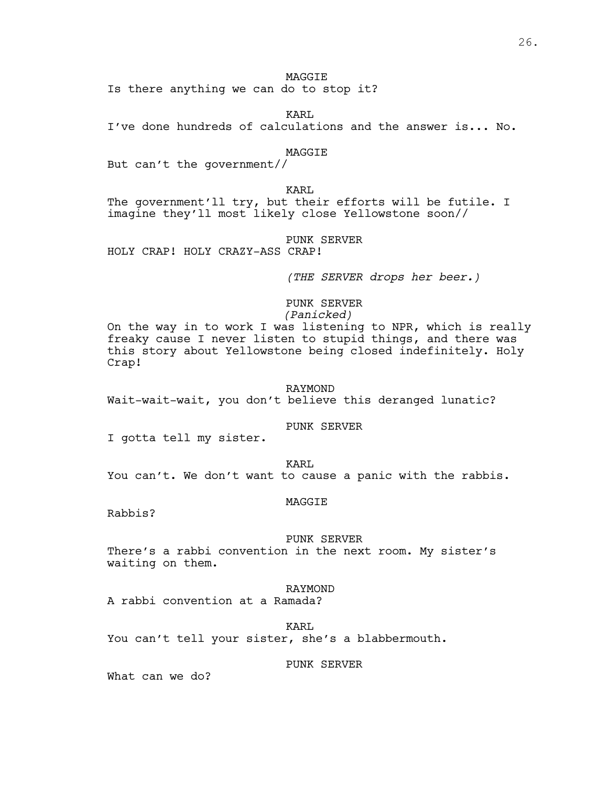# **MAGGTE**

Is there anything we can do to stop it?

KARL

I've done hundreds of calculations and the answer is... No.

# MAGGIE

But can't the government//

# KARL

The government'll try, but their efforts will be futile. I imagine they'll most likely close Yellowstone soon//

# PUNK SERVER

HOLY CRAP! HOLY CRAZY-ASS CRAP!

*(THE SERVER drops her beer.)*

# PUNK SERVER *(Panicked)*

On the way in to work I was listening to NPR, which is really freaky cause I never listen to stupid things, and there was this story about Yellowstone being closed indefinitely. Holy Crap!

#### RAYMOND

Wait-wait-wait, you don't believe this deranged lunatic?

# PUNK SERVER

I gotta tell my sister.

KARL You can't. We don't want to cause a panic with the rabbis.

#### MAGGIE

Rabbis?

#### PUNK SERVER

There's a rabbi convention in the next room. My sister's waiting on them.

# RAYMOND

A rabbi convention at a Ramada?

KARL

You can't tell your sister, she's a blabbermouth.

#### PUNK SERVER

What can we do?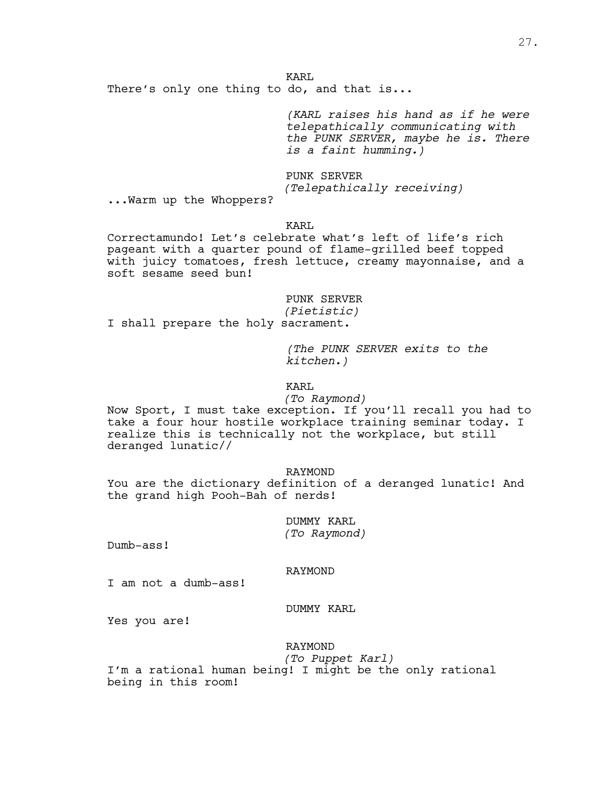KARL There's only one thing to do, and that is...

> *(KARL raises his hand as if he were telepathically communicating with the PUNK SERVER, maybe he is. There is a faint humming.)*

PUNK SERVER *(Telepathically receiving)*

...Warm up the Whoppers?

# KARL

Correctamundo! Let's celebrate what's left of life's rich pageant with a quarter pound of flame-grilled beef topped with juicy tomatoes, fresh lettuce, creamy mayonnaise, and a soft sesame seed bun!

# PUNK SERVER

*(Pietistic)*

I shall prepare the holy sacrament.

*(The PUNK SERVER exits to the kitchen.)*

# KARL

# *(To Raymond)*

Now Sport, I must take exception. If you'll recall you had to take a four hour hostile workplace training seminar today. I realize this is technically not the workplace, but still deranged lunatic//

# RAYMOND

You are the dictionary definition of a deranged lunatic! And the grand high Pooh-Bah of nerds!

> DUMMY KARL *(To Raymond)*

Dumb-ass!

# RAYMOND

I am not a dumb-ass!

# DUMMY KARL

Yes you are!

# RAYMOND

# *(To Puppet Karl)*

I'm a rational human being! I might be the only rational being in this room!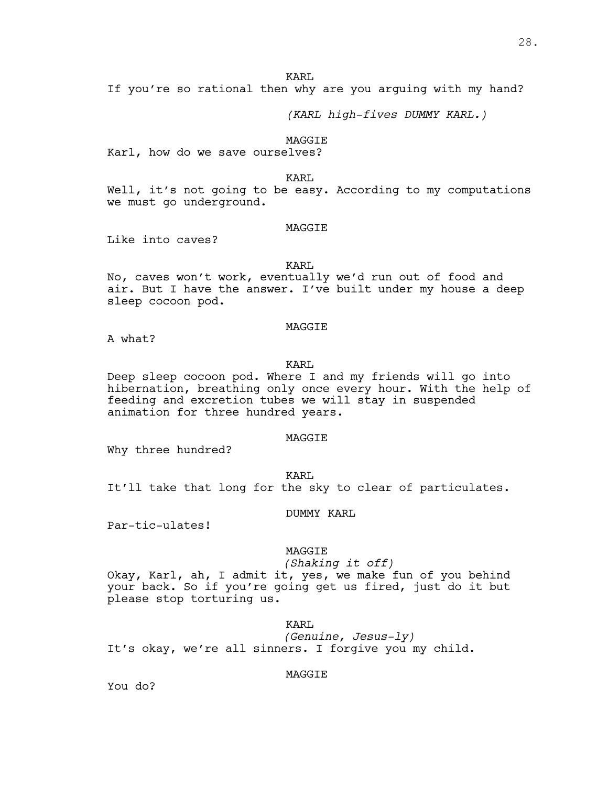If you're so rational then why are you arguing with my hand?

*(KARL high-fives DUMMY KARL.)*

#### MAGGIE

Karl, how do we save ourselves?

KARL

Well, it's not going to be easy. According to my computations we must go underground.

# MAGGIE

Like into caves?

KART.

No, caves won't work, eventually we'd run out of food and air. But I have the answer. I've built under my house a deep sleep cocoon pod.

# MAGGIE

A what?

# KARL

Deep sleep cocoon pod. Where I and my friends will go into hibernation, breathing only once every hour. With the help of feeding and excretion tubes we will stay in suspended animation for three hundred years.

# MAGGIE

Why three hundred?

KARL

It'll take that long for the sky to clear of particulates.

DUMMY KARL

Par-tic-ulates!

# MAGGIE

*(Shaking it off)*

Okay, Karl, ah, I admit it, yes, we make fun of you behind your back. So if you're going get us fired, just do it but please stop torturing us.

# KARL

*(Genuine, Jesus-ly)* It's okay, we're all sinners. I forgive you my child.

# MAGGIE

You do?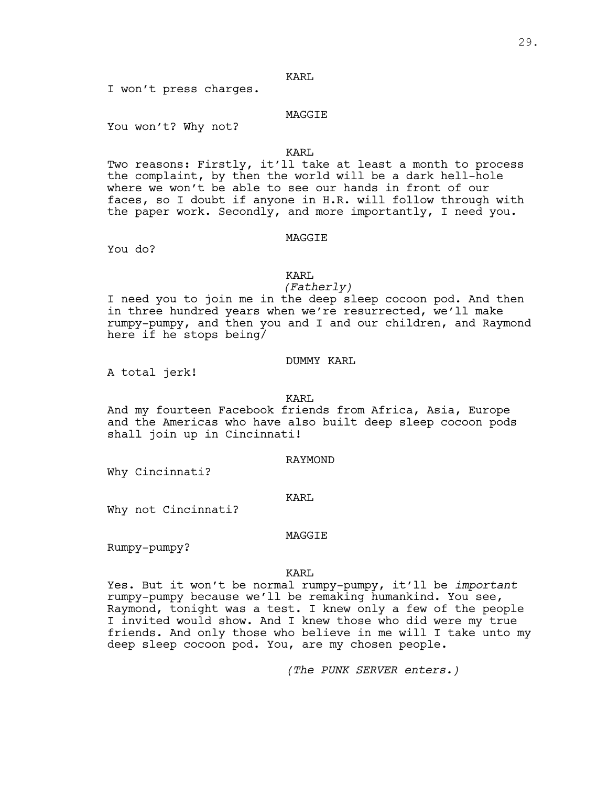I won't press charges.

# MAGGIE

You won't? Why not?

# KARL

Two reasons: Firstly, it'll take at least a month to process the complaint, by then the world will be a dark hell-hole where we won't be able to see our hands in front of our faces, so I doubt if anyone in H.R. will follow through with the paper work. Secondly, and more importantly, I need you.

#### MAGGIE

You do?

# KARL

*(Fatherly)*

I need you to join me in the deep sleep cocoon pod. And then in three hundred years when we're resurrected, we'll make rumpy-pumpy, and then you and I and our children, and Raymond here if he stops being/

# DUMMY KARL

A total jerk!

# KARL

And my fourteen Facebook friends from Africa, Asia, Europe and the Americas who have also built deep sleep cocoon pods shall join up in Cincinnati!

#### RAYMOND

Why Cincinnati?

# KARL

Why not Cincinnati?

# MAGGIE

Rumpy-pumpy?

# KARL

Yes. But it won't be normal rumpy-pumpy, it'll be *important* rumpy-pumpy because we'll be remaking humankind. You see,<br>Raymond, tonight was a test. I knew only a few of the people I invited would show. And I knew those who did were my true friends. And only those who believe in me will I take unto my deep sleep cocoon pod. You, are my chosen people.

*(The PUNK SERVER enters.)*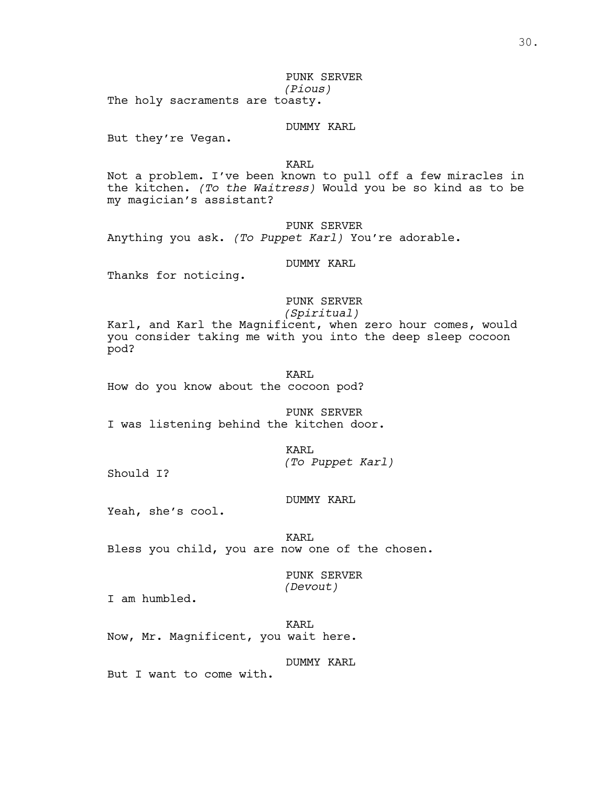30.

PUNK SERVER *(Pious)*

The holy sacraments are toasty.

DUMMY KARL

But they're Vegan.

KARL

Not a problem. I've been known to pull off a few miracles in the kitchen. *(To the Waitress)* Would you be so kind as to be my magician's assistant?

PUNK SERVER

Anything you ask. *(To Puppet Karl)* You're adorable.

DUMMY KARL

Thanks for noticing.

# PUNK SERVER

*(Spiritual)*

Karl, and Karl the Magnificent, when zero hour comes, would you consider taking me with you into the deep sleep cocoon pod?

KARL How do you know about the cocoon pod?

PUNK SERVER I was listening behind the kitchen door.

KARL

*(To Puppet Karl)*

Should I?

DUMMY KARL

Yeah, she's cool.

KARL Bless you child, you are now one of the chosen.

> PUNK SERVER *(Devout)*

I am humbled.

KARL Now, Mr. Magnificent, you wait here.

DUMMY KARL

But I want to come with.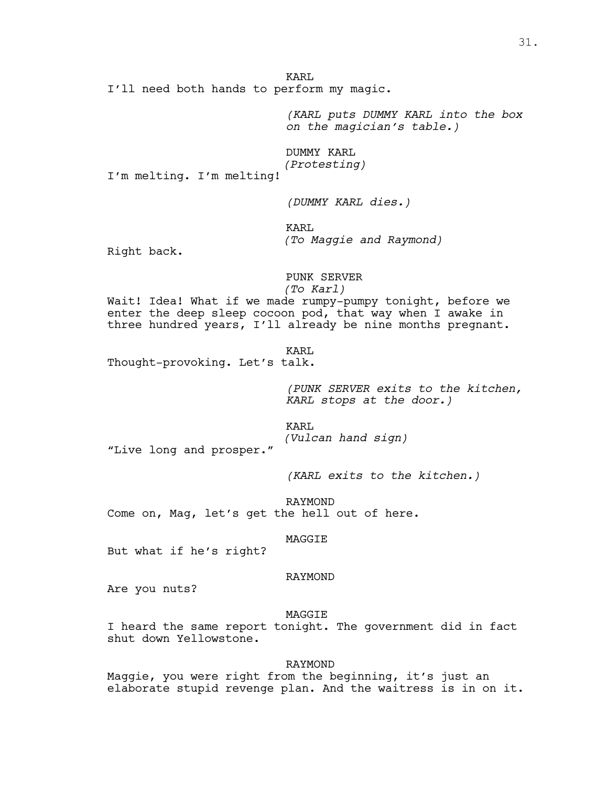I'll need both hands to perform my magic.

*(KARL puts DUMMY KARL into the box on the magician's table.)*

DUMMY KARL *(Protesting)*

I'm melting. I'm melting!

*(DUMMY KARL dies.)*

KARL *(To Maggie and Raymond)*

Right back.

PUNK SERVER *(To Karl)*

Wait! Idea! What if we made rumpy-pumpy tonight, before we enter the deep sleep cocoon pod, that way when I awake in three hundred years, I'll already be nine months pregnant.

KARL

Thought-provoking. Let's talk.

*(PUNK SERVER exits to the kitchen, KARL stops at the door.)*

KARL *(Vulcan hand sign)* "Live long and prosper."

*(KARL exits to the kitchen.)*

RAYMOND Come on, Mag, let's get the hell out of here.

MAGGIE

But what if he's right?

# RAYMOND

Are you nuts?

MAGGIE

I heard the same report tonight. The government did in fact shut down Yellowstone.

#### RAYMOND

Maggie, you were right from the beginning, it's just an elaborate stupid revenge plan. And the waitress is in on it.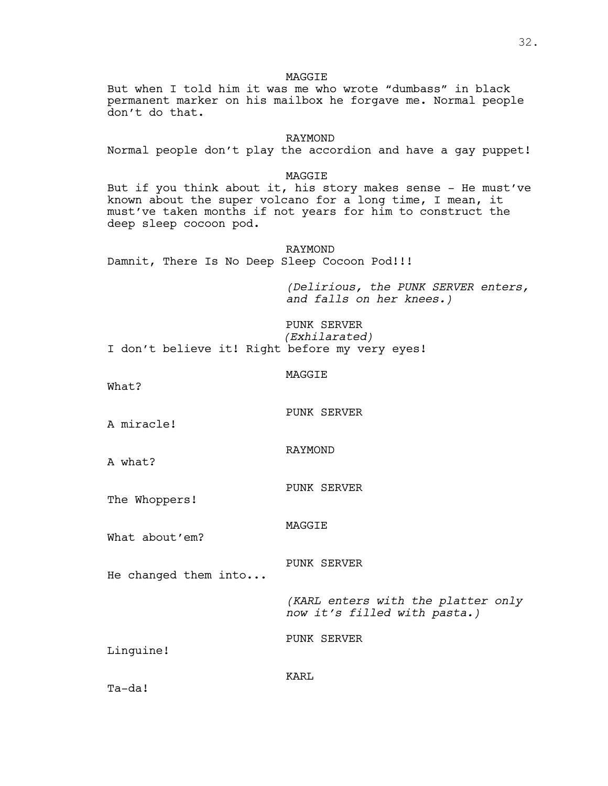**MAGGTE** But when I told him it was me who wrote "dumbass" in black permanent marker on his mailbox he forgave me. Normal people don't do that. RAYMOND Normal people don't play the accordion and have a gay puppet! MAGGIE But if you think about it, his story makes sense - He must've known about the super volcano for a long time, I mean, it must've taken months if not years for him to construct the deep sleep cocoon pod. RAYMOND Damnit, There Is No Deep Sleep Cocoon Pod!!! *(Delirious, the PUNK SERVER enters, and falls on her knees.)* PUNK SERVER *(Exhilarated)* I don't believe it! Right before my very eyes! MAGGIE What? PUNK SERVER A miracle! RAYMOND A what? PUNK SERVER The Whoppers! MAGGIE What about'em? PUNK SERVER He changed them into... *(KARL enters with the platter only now it's filled with pasta.)* PUNK SERVER Linguine! KARL

Ta-da!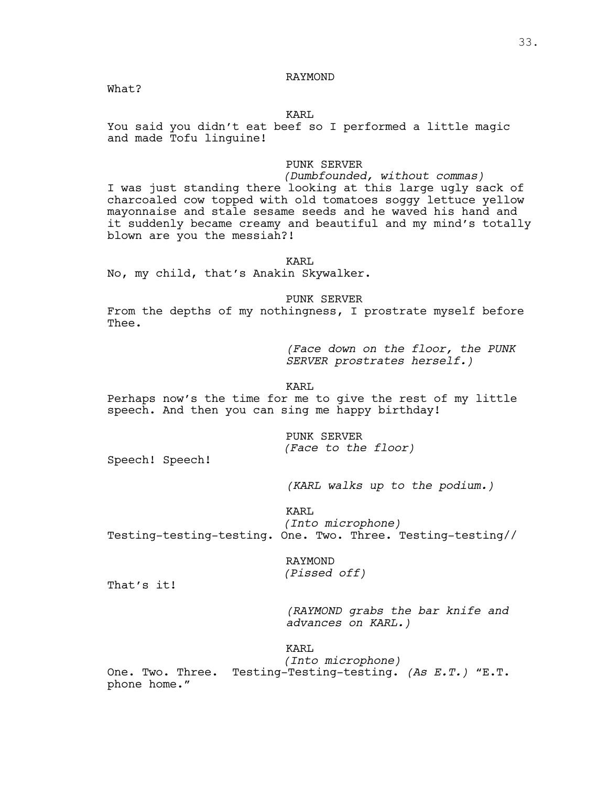# RAYMOND

What?

# KARL

You said you didn't eat beef so I performed a little magic and made Tofu linguine!

# PUNK SERVER

*(Dumbfounded, without commas)* I was just standing there looking at this large ugly sack of charcoaled cow topped with old tomatoes soggy lettuce yellow

mayonnaise and stale sesame seeds and he waved his hand and it suddenly became creamy and beautiful and my mind's totally blown are you the messiah?!

KARL

No, my child, that's Anakin Skywalker.

PUNK SERVER

From the depths of my nothingness, I prostrate myself before Thee.

> *(Face down on the floor, the PUNK SERVER prostrates herself.)*

# KARL

Perhaps now's the time for me to give the rest of my little speech. And then you can sing me happy birthday!

> PUNK SERVER *(Face to the floor)*

Speech! Speech!

*(KARL walks up to the podium.)*

KARL

*(Into microphone)* Testing-testing-testing. One. Two. Three. Testing-testing//

> RAYMOND *(Pissed off)*

That's it!

*(RAYMOND grabs the bar knife and advances on KARL.)*

KARL

*(Into microphone)* One. Two. Three. Testing-Testing-testing. *(As E.T.)* "E.T. phone home."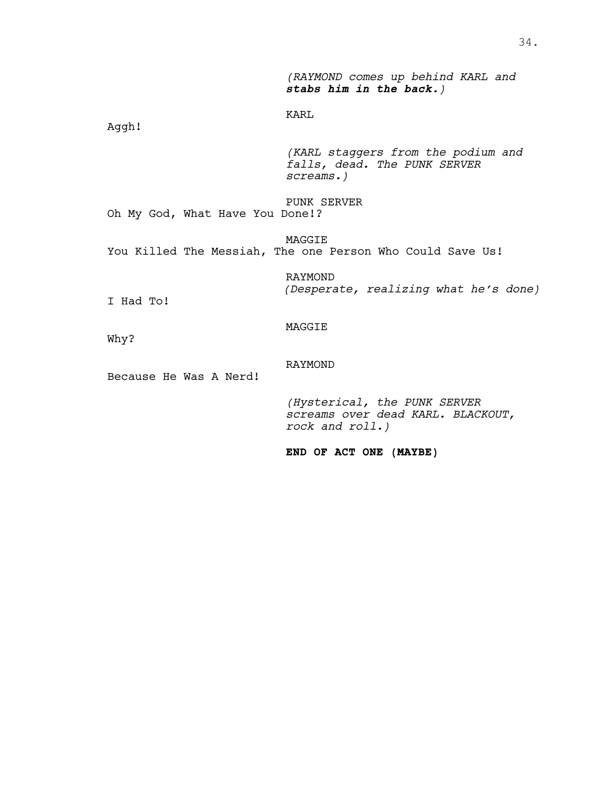*(RAYMOND comes up behind KARL and stabs him in the back.)*

KARL

Aggh!

*(KARL staggers from the podium and falls, dead. The PUNK SERVER screams.)*

PUNK SERVER Oh My God, What Have You Done!?

MAGGIE You Killed The Messiah, The one Person Who Could Save Us!

> RAYMOND *(Desperate, realizing what he's done)*

I Had To!

# MAGGIE

Why?

# RAYMOND

Because He Was A Nerd!

*(Hysterical, the PUNK SERVER screams over dead KARL. BLACKOUT, rock and roll.)*

**END OF ACT ONE (MAYBE)**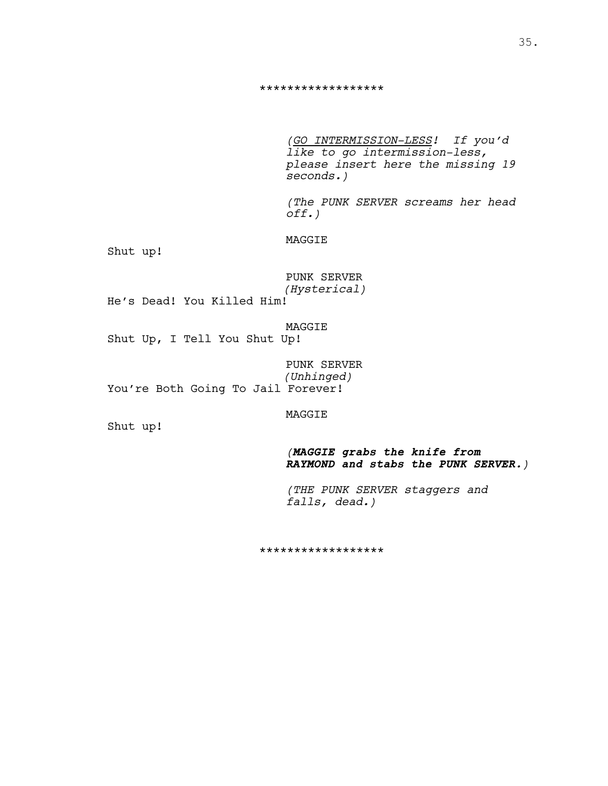#### \*\*\*\*\*\*\*\*\*\*\*\*\*\*\*\*\*\*

*(GO INTERMISSION-LESS! If you'd like to go intermission-less, please insert here the missing 19 seconds.)*

*(The PUNK SERVER screams her head off.)*

MAGGIE

Shut up!

|              | PUNK SERVER |  |
|--------------|-------------|--|
| (Hysterical) |             |  |

He's Dead! You Killed Him!

MAGGIE Shut Up, I Tell You Shut Up!

PUNK SERVER *(Unhinged)* You're Both Going To Jail Forever!

MAGGIE

Shut up!

*(MAGGIE grabs the knife from RAYMOND and stabs the PUNK SERVER.)*

*(THE PUNK SERVER staggers and falls, dead.)*

\*\*\*\*\*\*\*\*\*\*\*\*\*\*\*\*\*\*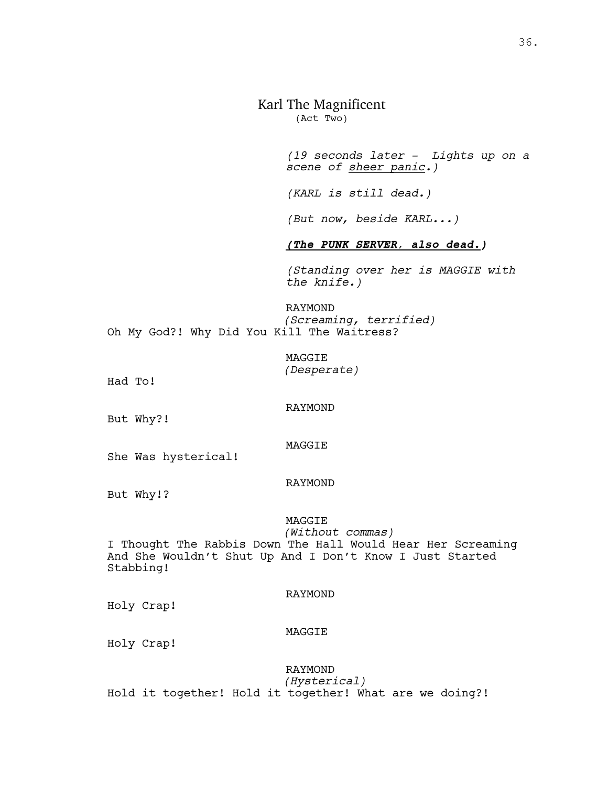# Karl The Magnificent

(Act Two)

*(19 seconds later - Lights up on a scene of sheer panic.)*

*(KARL is still dead.)*

*(But now, beside KARL...)*

# *(The PUNK SERVER, also dead.)*

*(Standing over her is MAGGIE with the knife.)*

# RAYMOND *(Screaming, terrified)* Oh My God?! Why Did You Kill The Waitress?

MAGGIE *(Desperate)*

Had To!

RAYMOND

MAGGIE

But Why?!

She Was hysterical!

#### RAYMOND

But Why!?

#### MAGGIE

*(Without commas)* I Thought The Rabbis Down The Hall Would Hear Her Screaming And She Wouldn't Shut Up And I Don't Know I Just Started Stabbing!

#### RAYMOND

Holy Crap!

#### MAGGIE

Holy Crap!

# RAYMOND *(Hysterical)* Hold it together! Hold it together! What are we doing?!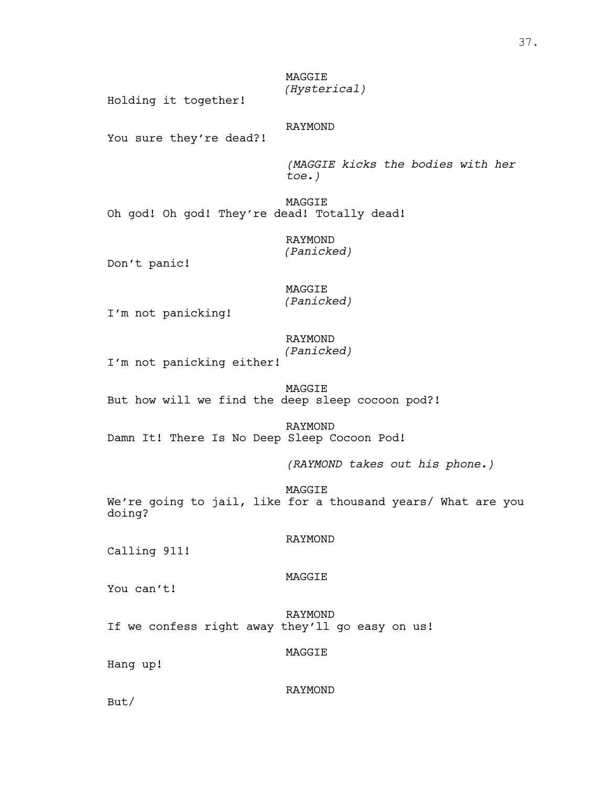MAGGIE *(Hysterical)*

Holding it together!

# RAYMOND

You sure they're dead?!

*(MAGGIE kicks the bodies with her toe.)*

MAGGIE Oh god! Oh god! They're dead! Totally dead!

> RAYMOND *(Panicked)*

Don't panic!

# MAGGIE *(Panicked)*

I'm not panicking!

# RAYMOND

*(Panicked)*

I'm not panicking either!

MAGGIE But how will we find the deep sleep cocoon pod?!

RAYMOND Damn It! There Is No Deep Sleep Cocoon Pod!

*(RAYMOND takes out his phone.)*

MAGGIE We're going to jail, like for a thousand years/ What are you doing?

# RAYMOND

Calling 911!

#### MAGGIE

You can't!

RAYMOND If we confess right away they'll go easy on us!

#### MAGGIE

Hang up!

#### RAYMOND

But/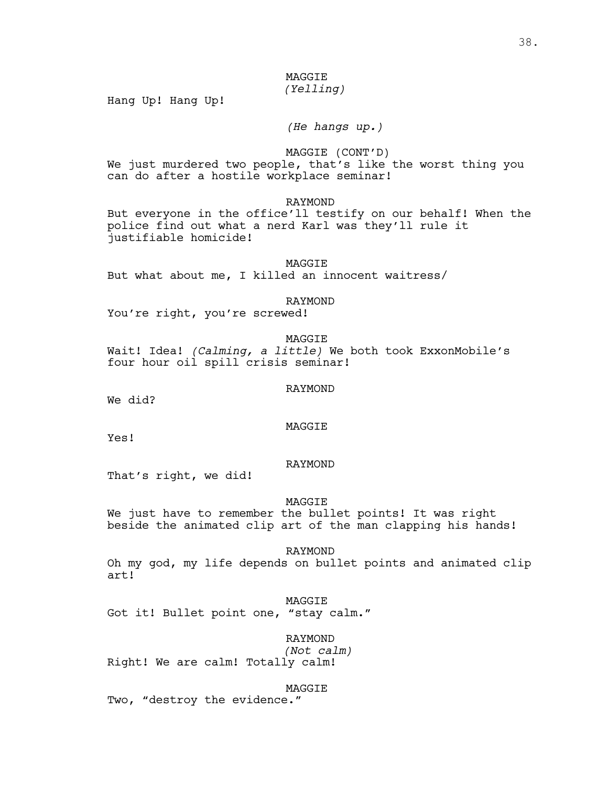# MAGGIE *(Yelling)*

Hang Up! Hang Up!

*(He hangs up.)*

MAGGIE (CONT'D)

We just murdered two people, that's like the worst thing you can do after a hostile workplace seminar!

RAYMOND

But everyone in the office'll testify on our behalf! When the police find out what a nerd Karl was they'll rule it justifiable homicide!

MAGGIE But what about me, I killed an innocent waitress/

RAYMOND

You're right, you're screwed!

MAGGIE

Wait! Idea! *(Calming, a little)* We both took ExxonMobile's four hour oil spill crisis seminar!

RAYMOND

We did?

MAGGIE

Yes!

# RAYMOND

That's right, we did!

MAGGIE

We just have to remember the bullet points! It was right beside the animated clip art of the man clapping his hands!

RAYMOND Oh my god, my life depends on bullet points and animated clip art!

MAGGIE Got it! Bullet point one, "stay calm."

RAYMOND *(Not calm)* Right! We are calm! Totally calm!

MAGGIE Two, "destroy the evidence."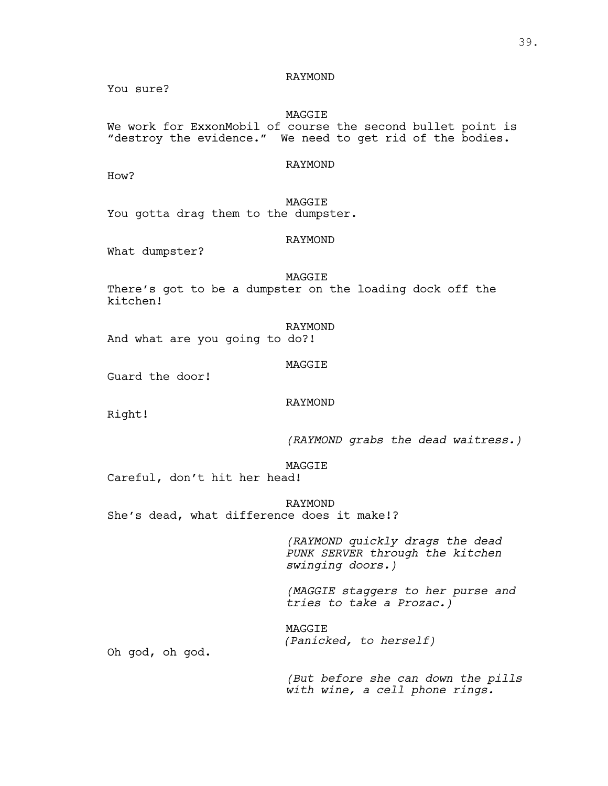RAYMOND

You sure?

# MAGGIE

We work for ExxonMobil of course the second bullet point is "destroy the evidence." We need to get rid of the bodies.

# RAYMOND

How?

MAGGIE You gotta drag them to the dumpster.

#### RAYMOND

What dumpster?

MAGGIE There's got to be a dumpster on the loading dock off the kitchen!

RAYMOND And what are you going to do?!

#### MAGGIE

Guard the door!

#### RAYMOND

Right!

*(RAYMOND grabs the dead waitress.)*

# MAGGIE

Careful, don't hit her head!

RAYMOND She's dead, what difference does it make!?

> *(RAYMOND quickly drags the dead PUNK SERVER through the kitchen swinging doors.)*

*(MAGGIE staggers to her purse and tries to take a Prozac.)*

MAGGIE *(Panicked, to herself)*

Oh god, oh god.

*(But before she can down the pills with wine, a cell phone rings.*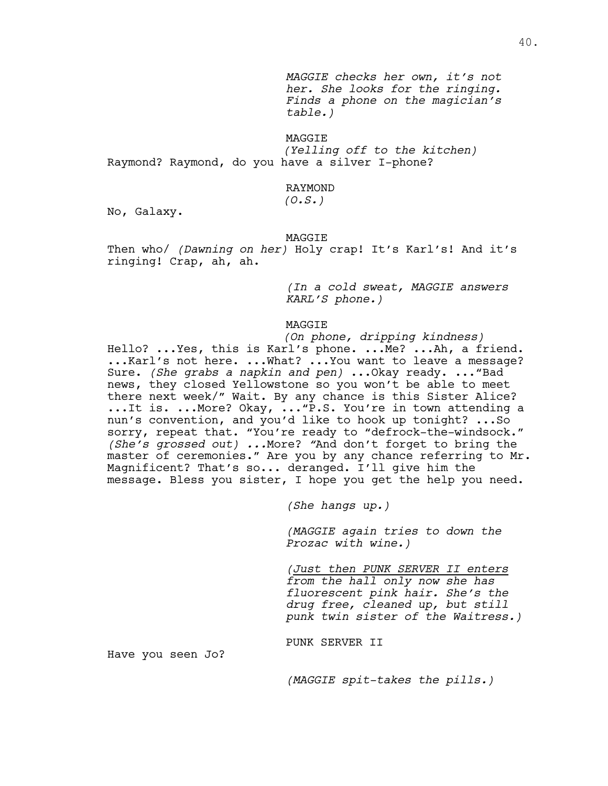*MAGGIE checks her own, it's not her. She looks for the ringing. Finds a phone on the magician's table.)*

MAGGIE

*(Yelling off to the kitchen)* Raymond? Raymond, do you have a silver I-phone?

# RAYMOND

*(O.S.)*

No, Galaxy.

#### MAGGIE

Then who/ *(Dawning on her)* Holy crap! It's Karl's! And it's ringing! Crap, ah, ah.

> *(In a cold sweat, MAGGIE answers KARL'S phone.)*

#### MAGGIE

*(On phone, dripping kindness)* Hello? ...Yes, this is Karl's phone. ...Me? ...Ah, a friend. ...Karl's not here. ...What? ...You want to leave a message? Sure. *(She grabs a napkin and pen)* ...Okay ready. ..."Bad news, they closed Yellowstone so you won't be able to meet there next week/" Wait. By any chance is this Sister Alice? ...It is. ...More? Okay, ..."P.S. You're in town attending a nun's convention, and you'd like to hook up tonight? ...So sorry, repeat that. "You're ready to "defrock-the-windsock." *(She's grossed out) ...*More? *"*And don't forget to bring the master of ceremonies." Are you by any chance referring to Mr.<br>Magnificent? That's so... deranged. I'll give him the message. Bless you sister, I hope you get the help you need.

*(She hangs up.)*

*(MAGGIE again tries to down the Prozac with wine.)*

*(Just then PUNK SERVER II enters from the hall only now she has fluorescent pink hair. She's the drug free, cleaned up, but still punk twin sister of the Waitress.)*

PUNK SERVER II

Have you seen Jo?

*(MAGGIE spit-takes the pills.)*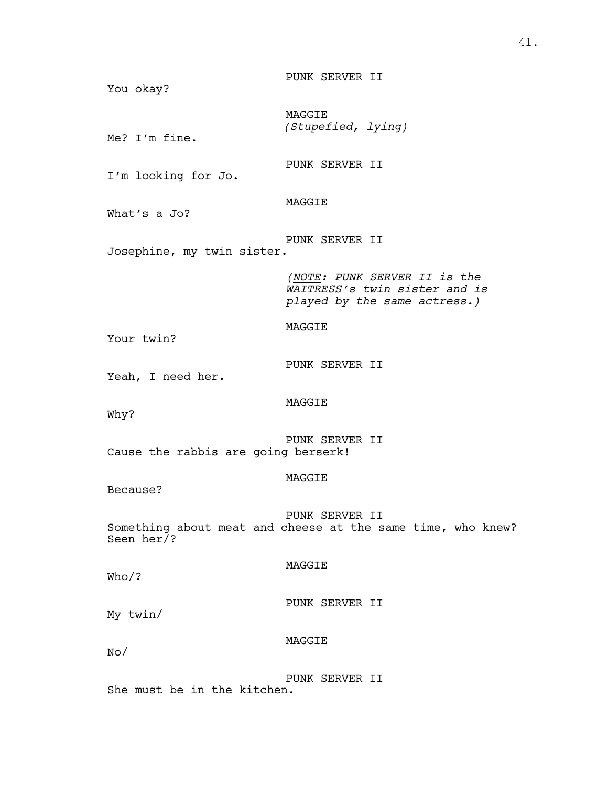PUNK SERVER II You okay? MAGGIE *(Stupefied, lying)* Me? I'm fine. PUNK SERVER II I'm looking for Jo. MAGGIE What's a Jo? PUNK SERVER II Josephine, my twin sister. *(NOTE: PUNK SERVER II is the WAITRESS's twin sister and is played by the same actress.)* MAGGIE Your twin? PUNK SERVER II Yeah, I need her. MAGGIE Why? PUNK SERVER II Cause the rabbis are going berserk! MAGGIE Because? PUNK SERVER II Something about meat and cheese at the same time, who knew? Seen her/? MAGGIE Who/? PUNK SERVER II My twin/ MAGGIE No/ PUNK SERVER II She must be in the kitchen.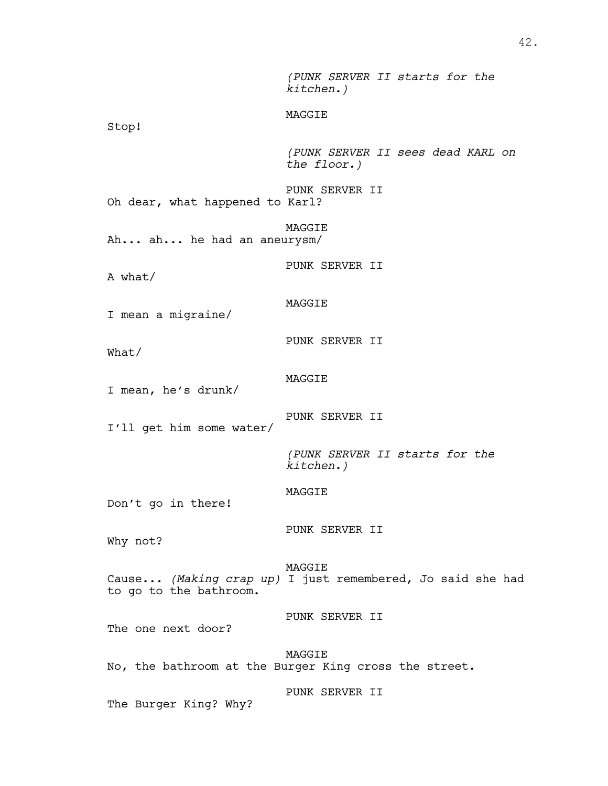*(PUNK SERVER II starts for the kitchen.)* MAGGIE Stop! *(PUNK SERVER II sees dead KARL on the floor.)* PUNK SERVER II Oh dear, what happened to Karl? MAGGIE Ah... ah... he had an aneurysm/ PUNK SERVER II A what/ MAGGIE I mean a migraine/ PUNK SERVER II What/ MAGGIE I mean, he's drunk/ PUNK SERVER II I'll get him some water/ *(PUNK SERVER II starts for the kitchen.)* MAGGIE Don't go in there! PUNK SERVER II Why not? MAGGIE Cause... *(Making crap up)* I just remembered, Jo said she had to go to the bathroom. PUNK SERVER II The one next door? MAGGIE No, the bathroom at the Burger King cross the street. PUNK SERVER II The Burger King? Why?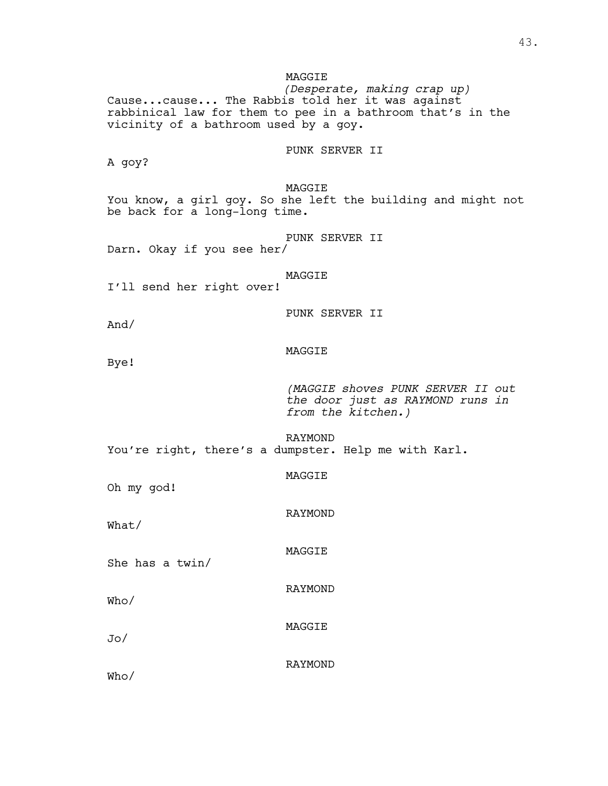MAGGIE *(Desperate, making crap up)* Cause...cause... The Rabbis told her it was against rabbinical law for them to pee in a bathroom that's in the vicinity of a bathroom used by a goy. PUNK SERVER II A goy? MAGGIE You know, a girl goy. So she left the building and might not be back for a long-long time. PUNK SERVER II Darn. Okay if you see her/ MAGGIE I'll send her right over! PUNK SERVER II And/ MAGGIE Bye! *(MAGGIE shoves PUNK SERVER II out the door just as RAYMOND runs in from the kitchen.)* RAYMOND You're right, there's a dumpster. Help me with Karl. MAGGIE Oh my god! RAYMOND What/ MAGGIE She has a twin/ RAYMOND Who/ MAGGIE Jo/ RAYMOND Who/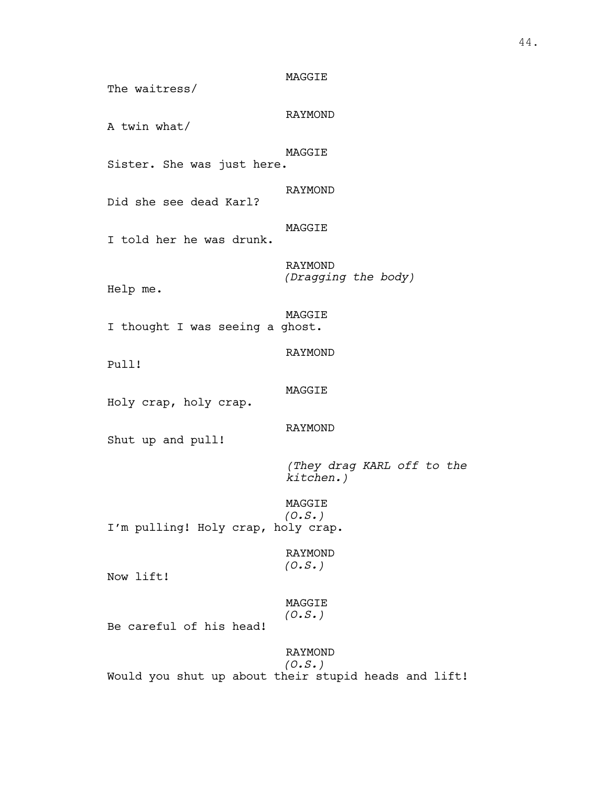MAGGIE The waitress/ RAYMOND A twin what/ MAGGIE Sister. She was just here. RAYMOND Did she see dead Karl? MAGGIE I told her he was drunk. RAYMOND *(Dragging the body)* Help me. MAGGIE I thought I was seeing a ghost. RAYMOND Pull! MAGGIE Holy crap, holy crap. RAYMOND Shut up and pull! *(They drag KARL off to the kitchen.)* MAGGIE *(O.S.)* I'm pulling! Holy crap, holy crap. RAYMOND *(O.S.)* Now lift! MAGGIE *(O.S.)* Be careful of his head! RAYMOND *(O.S.)* Would you shut up about their stupid heads and lift!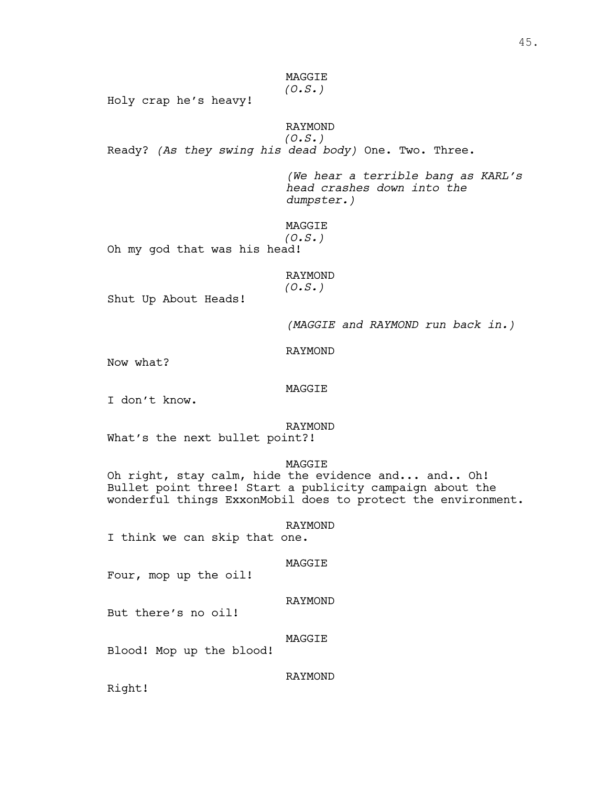# MAGGIE *(O.S.)*

Holy crap he's heavy!

# RAYMOND *(O.S.)*

Ready? *(As they swing his dead body)* One. Two. Three.

*(We hear a terrible bang as KARL's head crashes down into the dumpster.)*

MAGGIE

*(O.S.)*

Oh my god that was his head!

# RAYMOND *(O.S.)*

Shut Up About Heads!

*(MAGGIE and RAYMOND run back in.)*

RAYMOND

Now what?

## MAGGIE

I don't know.

# RAYMOND

What's the next bullet point?!

# MAGGIE

Oh right, stay calm, hide the evidence and... and.. Oh! Bullet point three! Start a publicity campaign about the wonderful things ExxonMobil does to protect the environment.

#### RAYMOND

I think we can skip that one.

# MAGGIE

Four, mop up the oil!

# RAYMOND

But there's no oil!

# MAGGIE

Blood! Mop up the blood!

# RAYMOND

Right!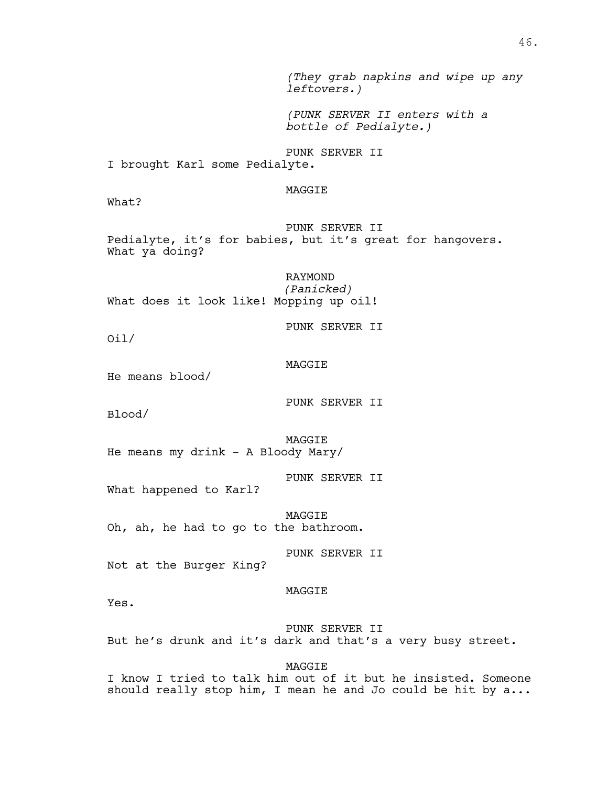*(They grab napkins and wipe up any leftovers.)*

*(PUNK SERVER II enters with a bottle of Pedialyte.)*

PUNK SERVER II I brought Karl some Pedialyte.

MAGGIE

What?

PUNK SERVER II Pedialyte, it's for babies, but it's great for hangovers. What ya doing?

RAYMOND *(Panicked)* What does it look like! Mopping up oil!

PUNK SERVER II

Oil/

MAGGIE

He means blood/

PUNK SERVER II

Blood/

MAGGIE He means my drink - A Bloody Mary/

PUNK SERVER II

What happened to Karl?

MAGGIE Oh, ah, he had to go to the bathroom.

PUNK SERVER II

Not at the Burger King?

MAGGIE

Yes.

PUNK SERVER II But he's drunk and it's dark and that's a very busy street.

MAGGIE

I know I tried to talk him out of it but he insisted. Someone should really stop him, I mean he and Jo could be hit by  $a...$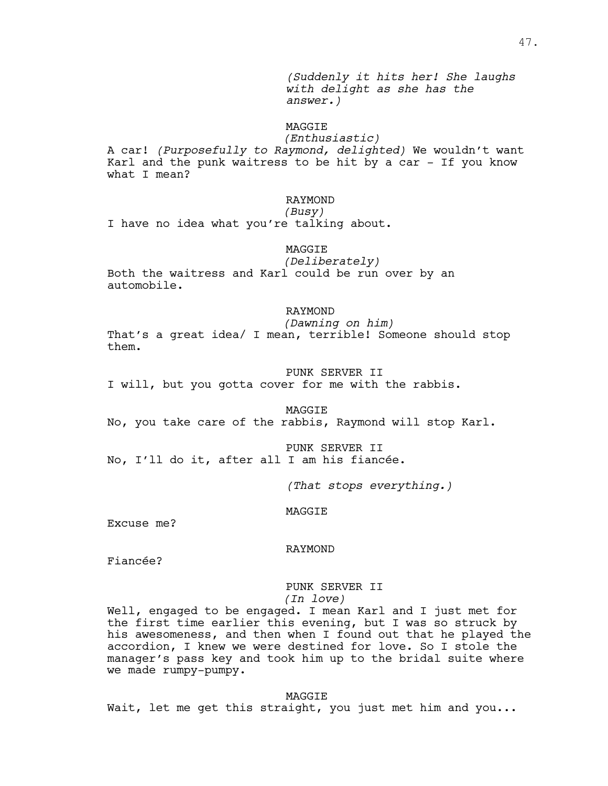*(Suddenly it hits her! She laughs with delight as she has the answer.)*

# MAGGIE

*(Enthusiastic)* A car! *(Purposefully to Raymond, delighted)* We wouldn't want Karl and the punk waitress to be hit by a car - If you know what I mean?

# RAYMOND

# *(Busy)*

I have no idea what you're talking about.

# MAGGIE

*(Deliberately)* Both the waitress and Karl could be run over by an automobile.

#### RAYMOND

*(Dawning on him)*

That's a great idea/ I mean, terrible! Someone should stop them.

#### PUNK SERVER II

I will, but you gotta cover for me with the rabbis.

#### MAGGIE

No, you take care of the rabbis, Raymond will stop Karl.

PUNK SERVER II No, I'll do it, after all I am his fiancée.

*(That stops everything.)*

#### MAGGIE

Excuse me?

#### RAYMOND

Fiancée?

# PUNK SERVER II

*(In love)*

Well, engaged to be engaged. I mean Karl and I just met for the first time earlier this evening, but I was so struck by his awesomeness, and then when I found out that he played the accordion, I knew we were destined for love. So I stole the manager's pass key and took him up to the bridal suite where we made rumpy-pumpy.

MAGGIE

Wait, let me get this straight, you just met him and you...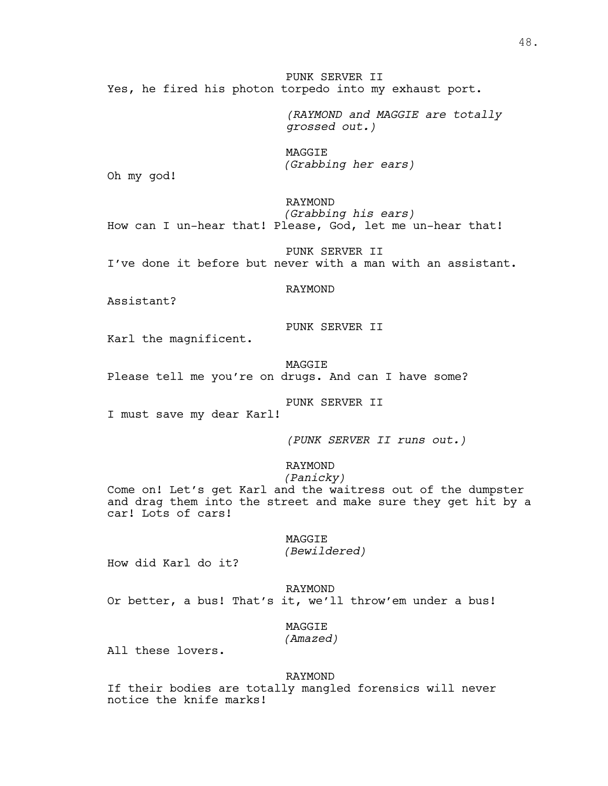PUNK SERVER II Yes, he fired his photon torpedo into my exhaust port.

> *(RAYMOND and MAGGIE are totally grossed out.)*

MAGGIE *(Grabbing her ears)*

Oh my god!

RAYMOND *(Grabbing his ears)* How can I un-hear that! Please, God, let me un-hear that!

PUNK SERVER II I've done it before but never with a man with an assistant.

RAYMOND

Assistant?

PUNK SERVER II

Karl the magnificent.

MAGGIE Please tell me you're on drugs. And can I have some?

PUNK SERVER II

I must save my dear Karl!

*(PUNK SERVER II runs out.)*

RAYMOND

*(Panicky)*

Come on! Let's get Karl and the waitress out of the dumpster and drag them into the street and make sure they get hit by a car! Lots of cars!

> MAGGIE *(Bewildered)*

How did Karl do it?

RAYMOND Or better, a bus! That's it, we'll throw'em under a bus!

MAGGIE

*(Amazed)*

All these lovers.

RAYMOND

If their bodies are totally mangled forensics will never notice the knife marks!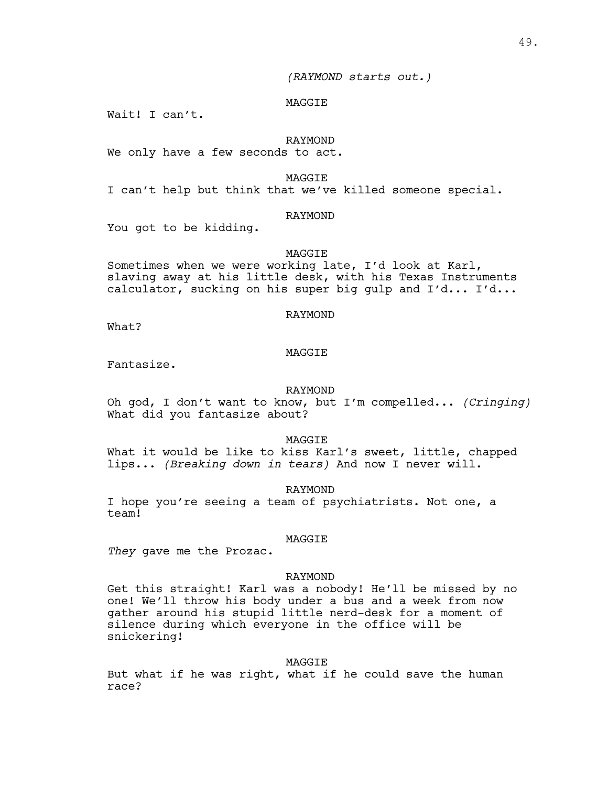*(RAYMOND starts out.)*

#### MAGGIE

Wait! I can't.

#### RAYMOND

We only have a few seconds to act.

MAGGIE

I can't help but think that we've killed someone special.

#### RAYMOND

You got to be kidding.

#### MAGGIE

Sometimes when we were working late, I'd look at Karl, slaving away at his little desk, with his Texas Instruments calculator, sucking on his super big gulp and I'd... I'd...

# RAYMOND

What?

#### MAGGIE

Fantasize.

#### RAYMOND

Oh god, I don't want to know, but I'm compelled... *(Cringing)* What did you fantasize about?

MAGGIE

What it would be like to kiss Karl's sweet, little, chapped lips... *(Breaking down in tears)* And now I never will.

RAYMOND

I hope you're seeing a team of psychiatrists. Not one, a team!

#### MAGGIE

*They* gave me the Prozac.

#### RAYMOND

Get this straight! Karl was a nobody! He'll be missed by no one! We'll throw his body under a bus and a week from now gather around his stupid little nerd-desk for a moment of silence during which everyone in the office will be snickering!

#### MAGGIE

But what if he was right, what if he could save the human race?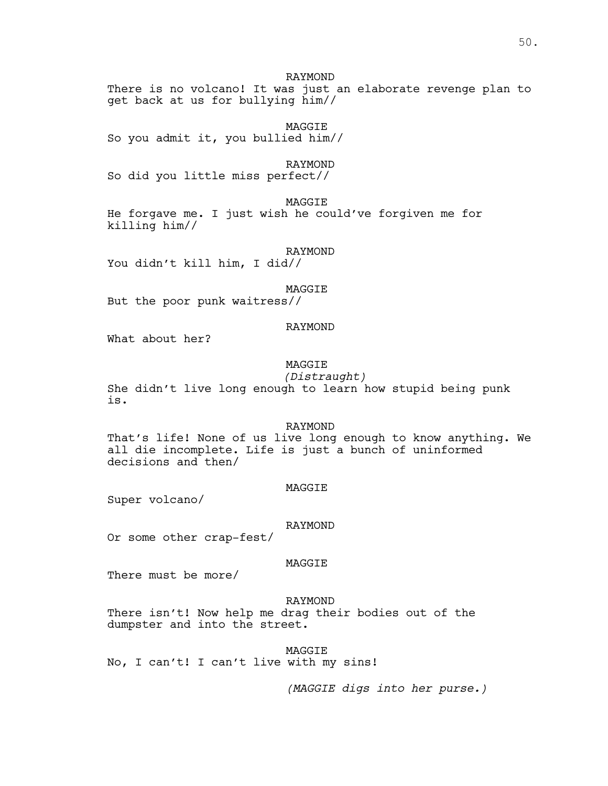# RAYMOND

There is no volcano! It was just an elaborate revenge plan to get back at us for bullying him//

MAGGIE So you admit it, you bullied him//

RAYMOND

So did you little miss perfect//

MAGGIE

He forgave me. I just wish he could've forgiven me for killing him//

RAYMOND You didn't kill him, I did//

## MAGGIE

But the poor punk waitress//

# RAYMOND

What about her?

# MAGGIE

*(Distraught)* She didn't live long enough to learn how stupid being punk is.

#### RAYMOND

That's life! None of us live long enough to know anything. We all die incomplete. Life is just a bunch of uninformed decisions and then/

#### MAGGIE

Super volcano/

#### RAYMOND

Or some other crap-fest/

# MAGGIE

There must be more/

#### RAYMOND

There isn't! Now help me drag their bodies out of the dumpster and into the street.

MAGGIE

No, I can't! I can't live with my sins!

*(MAGGIE digs into her purse.)*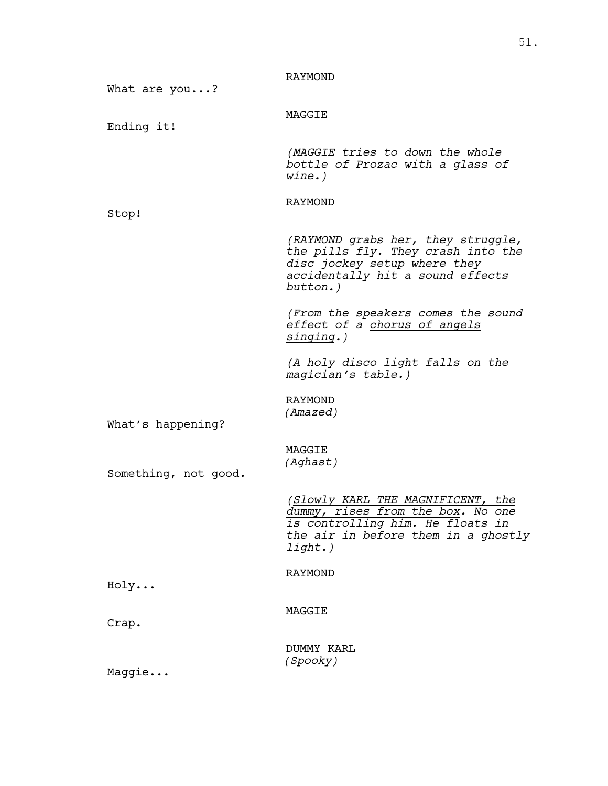| What are you?        | <b>RAYMOND</b>                                                                                                                                                  |
|----------------------|-----------------------------------------------------------------------------------------------------------------------------------------------------------------|
| Ending it!           | MAGGIE                                                                                                                                                          |
|                      | (MAGGIE tries to down the whole<br>bottle of Prozac with a glass of<br>$wine.$ )                                                                                |
| Stop!                | RAYMOND                                                                                                                                                         |
|                      | (RAYMOND grabs her, they struggle,<br>the pills fly. They crash into the<br>disc jockey setup where they<br>accidentally hit a sound effects<br>button.)        |
|                      | (From the speakers comes the sound<br>effect of a chorus of angels<br>singing.)                                                                                 |
|                      | (A holy disco light falls on the<br>magician's table.)                                                                                                          |
| What's happening?    | RAYMOND<br>(Amazed)                                                                                                                                             |
| Something, not good. | MAGGIE<br>(Aghast)                                                                                                                                              |
|                      | (Slowly KARL THE MAGNIFICENT, the<br>dummy, rises from the box. No one<br>is controlling him. He floats in<br>the air in before them in a ghostly<br>$l$ ight.) |
| Holy                 | <b>RAYMOND</b>                                                                                                                                                  |
| Crap.                | MAGGIE                                                                                                                                                          |
| Maggie               | DUMMY KARL<br>(Spooky)                                                                                                                                          |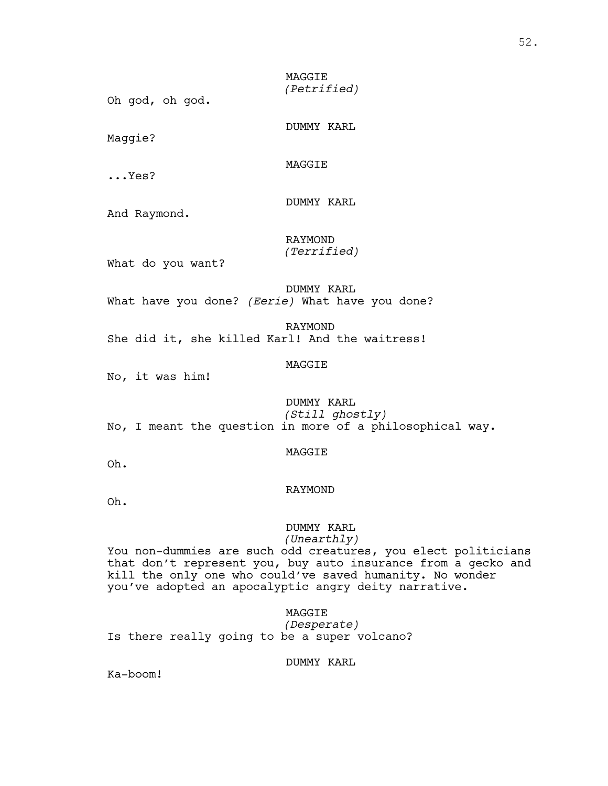MAGGIE *(Petrified)*

Oh god, oh god.

DUMMY KARL

Maggie?

MAGGIE

...Yes?

DUMMY KARL

And Raymond.

RAYMOND *(Terrified)*

What do you want?

DUMMY KARL What have you done? *(Eerie)* What have you done?

RAYMOND She did it, she killed Karl! And the waitress!

# MAGGIE

No, it was him!

DUMMY KARL *(Still ghostly)* No, I meant the question in more of a philosophical way.

#### MAGGIE

Oh.

#### RAYMOND

Oh.

# DUMMY KARL

*(Unearthly)*

You non-dummies are such odd creatures, you elect politicians that don't represent you, buy auto insurance from a gecko and kill the only one who could've saved humanity. No wonder you've adopted an apocalyptic angry deity narrative.

# MAGGIE

*(Desperate)* Is there really going to be a super volcano?

# DUMMY KARL

Ka-boom!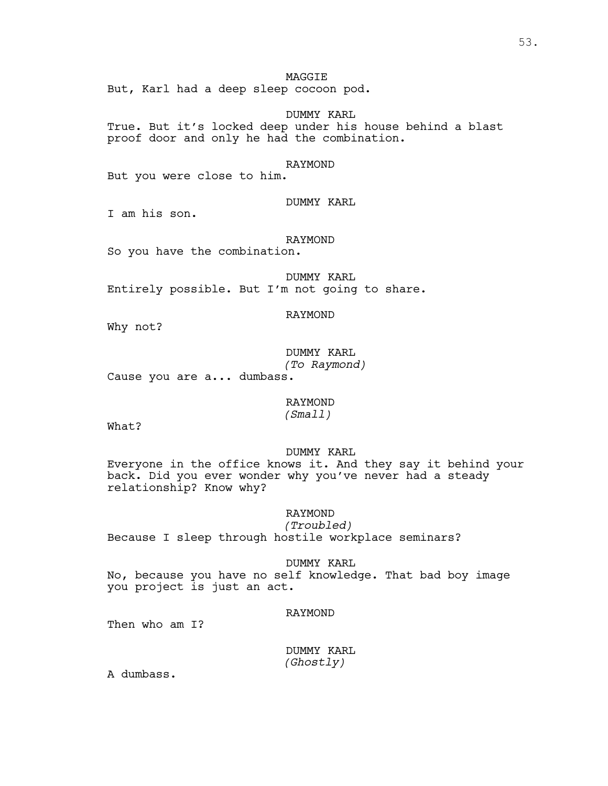# MAGGIE

But, Karl had a deep sleep cocoon pod.

# DUMMY KARL

True. But it's locked deep under his house behind a blast proof door and only he had the combination.

# RAYMOND

But you were close to him.

# DUMMY KARL

I am his son.

#### RAYMOND

So you have the combination.

DUMMY KARL Entirely possible. But I'm not going to share.

# RAYMOND

Why not?

DUMMY KARL *(To Raymond)*

Cause you are a... dumbass.

# RAYMOND

*(Small)*

What?

#### DUMMY KARL

Everyone in the office knows it. And they say it behind your back. Did you ever wonder why you've never had a steady relationship? Know why?

# RAYMOND

*(Troubled)* Because I sleep through hostile workplace seminars?

DUMMY KARL No, because you have no self knowledge. That bad boy image you project is just an act.

#### RAYMOND

Then who am I?

DUMMY KARL *(Ghostly)*

A dumbass.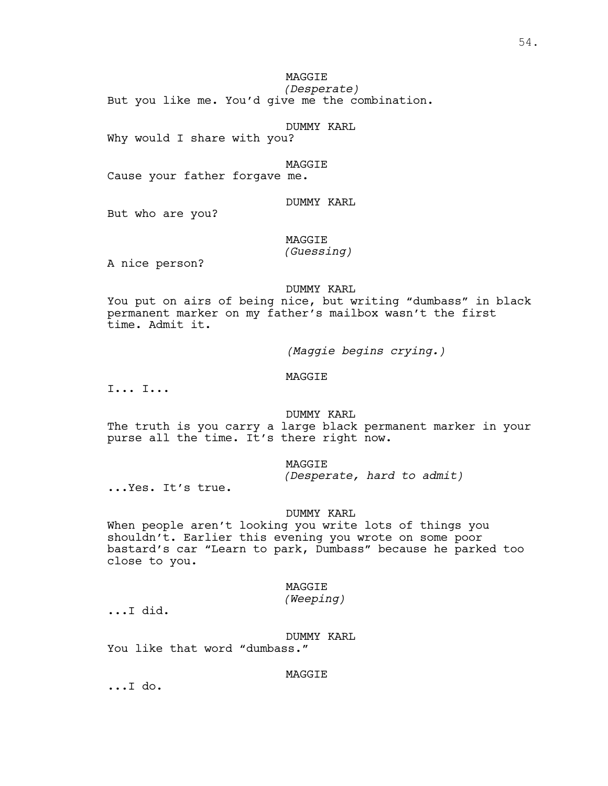MAGGIE

*(Desperate)* But you like me. You'd give me the combination.

DUMMY KARL

Why would I share with you?

MAGGIE

Cause your father forgave me.

# DUMMY KARL

But who are you?

# MAGGIE

*(Guessing)*

A nice person?

# DUMMY KARL

You put on airs of being nice, but writing "dumbass" in black permanent marker on my father's mailbox wasn't the first time. Admit it.

*(Maggie begins crying.)*

# MAGGIE

I... I...

#### DUMMY KARL

The truth is you carry a large black permanent marker in your purse all the time. It's there right now.

# MAGGIE

*(Desperate, hard to admit)*

...Yes. It's true.

#### DUMMY KARL

When people aren't looking you write lots of things you shouldn't. Earlier this evening you wrote on some poor bastard's car "Learn to park, Dumbass" because he parked too close to you.

#### MAGGIE

*(Weeping)*

...I did.

DUMMY KARL

You like that word "dumbass."

# MAGGIE ...I do.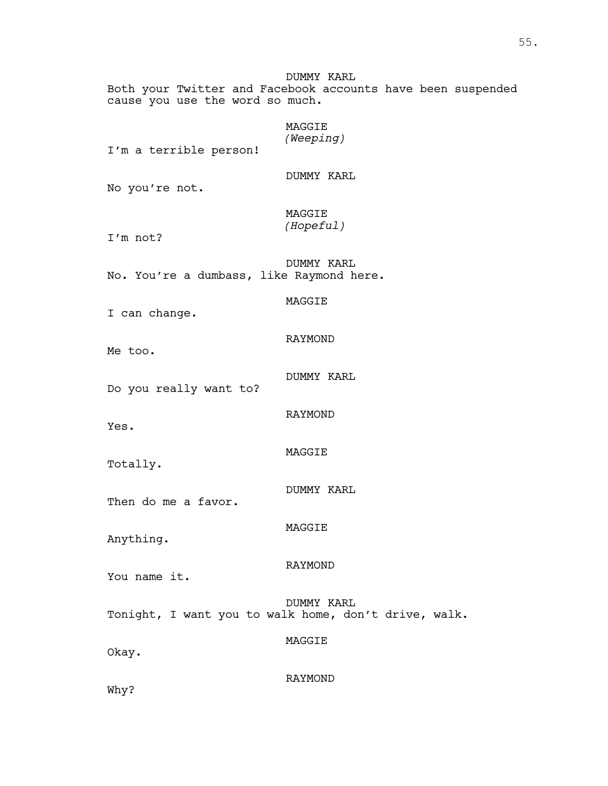DUMMY KARL Both your Twitter and Facebook accounts have been suspended cause you use the word so much.

# MAGGIE *(Weeping)*

I'm a terrible person!

DUMMY KARL

No you're not.

MAGGIE *(Hopeful)*

I'm not?

DUMMY KARL No. You're a dumbass, like Raymond here.

MAGGIE

I can change.

RAYMOND

Me too.

DUMMY KARL

Do you really want to?

RAYMOND

MAGGIE

Yes.

Totally.

DUMMY KARL

Then do me a favor.

Anything.

RAYMOND

MAGGIE

You name it.

DUMMY KARL Tonight, I want you to walk home, don't drive, walk.

Okay.

RAYMOND

MAGGIE

Why?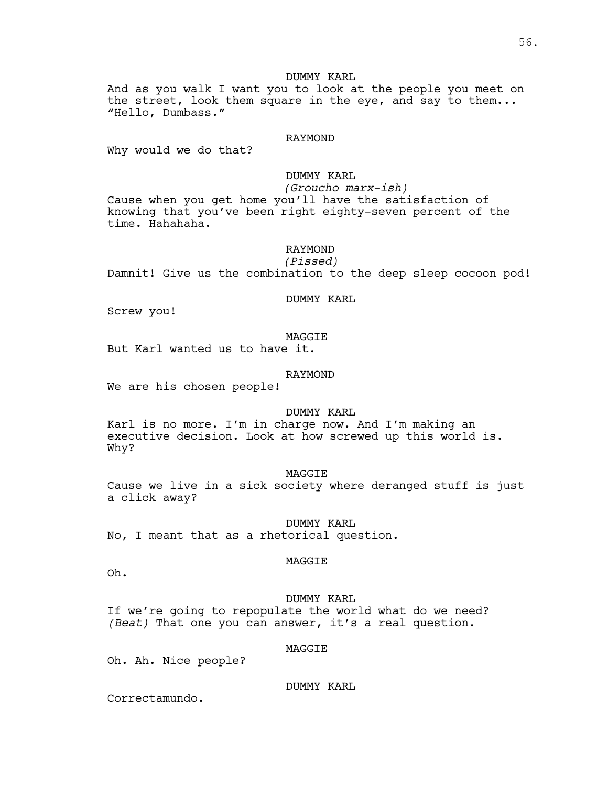# DUMMY KARL

And as you walk I want you to look at the people you meet on the street, look them square in the eye, and say to them... "Hello, Dumbass."

#### RAYMOND

Why would we do that?

# DUMMY KARL

*(Groucho marx-ish)* Cause when you get home you'll have the satisfaction of knowing that you've been right eighty-seven percent of the time. Hahahaha.

# RAYMOND

*(Pissed)* Damnit! Give us the combination to the deep sleep cocoon pod!

#### DUMMY KARL

Screw you!

#### MAGGIE

But Karl wanted us to have it.

#### RAYMOND

We are his chosen people!

#### DUMMY KARL

Karl is no more. I'm in charge now. And I'm making an executive decision. Look at how screwed up this world is. Why?

#### MAGGIE

Cause we live in a sick society where deranged stuff is just a click away?

DUMMY KARL

No, I meant that as a rhetorical question.

#### MAGGIE

Oh.

# DUMMY KARL If we're going to repopulate the world what do we need? *(Beat)* That one you can answer, it's a real question.

#### MAGGIE

Oh. Ah. Nice people?

DUMMY KARL

Correctamundo.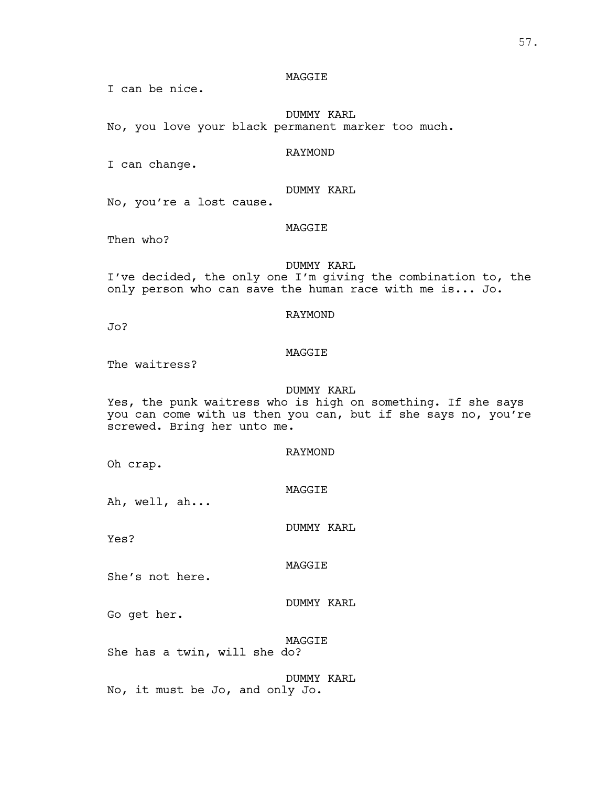# MAGGIE

I can be nice.

DUMMY KARL No, you love your black permanent marker too much.

#### RAYMOND

I can change.

# DUMMY KARL

No, you're a lost cause.

# MAGGIE

Then who?

#### DUMMY KARL

I've decided, the only one I'm giving the combination to, the only person who can save the human race with me is... Jo.

# RAYMOND

Jo?

#### MAGGIE

The waitress?

# DUMMY KARL

Yes, the punk waitress who is high on something. If she says you can come with us then you can, but if she says no, you're screwed. Bring her unto me.

#### RAYMOND

Oh crap.

#### MAGGIE

Ah, well, ah...

Yes?

#### MAGGIE

She's not here.

DUMMY KARL

DUMMY KARL

Go get her.

MAGGIE She has a twin, will she do?

DUMMY KARL No, it must be Jo, and only Jo.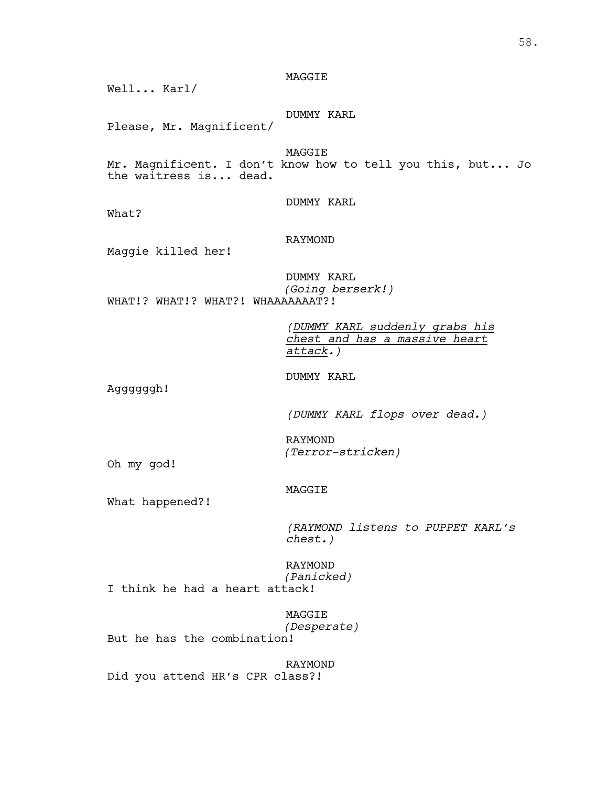# MAGGIE

Well... Karl/

DUMMY KARL

Please, Mr. Magnificent/

MAGGIE

Mr. Magnificent. I don't know how to tell you this, but... Jo the waitress is... dead.

DUMMY KARL

What?

# RAYMOND

Maggie killed her!

DUMMY KARL *(Going berserk!)* WHAT!? WHAT!? WHAT?! WHAAAAAAAT?!

> *(DUMMY KARL suddenly grabs his chest and has a massive heart attack.)*

DUMMY KARL

Aggggggh!

*(DUMMY KARL flops over dead.)*

RAYMOND *(Terror-stricken)*

Oh my god!

# MAGGIE

What happened?!

*(RAYMOND listens to PUPPET KARL's chest.)*

RAYMOND *(Panicked)* I think he had a heart attack!

MAGGIE *(Desperate)* But he has the combination!

RAYMOND Did you attend HR's CPR class?!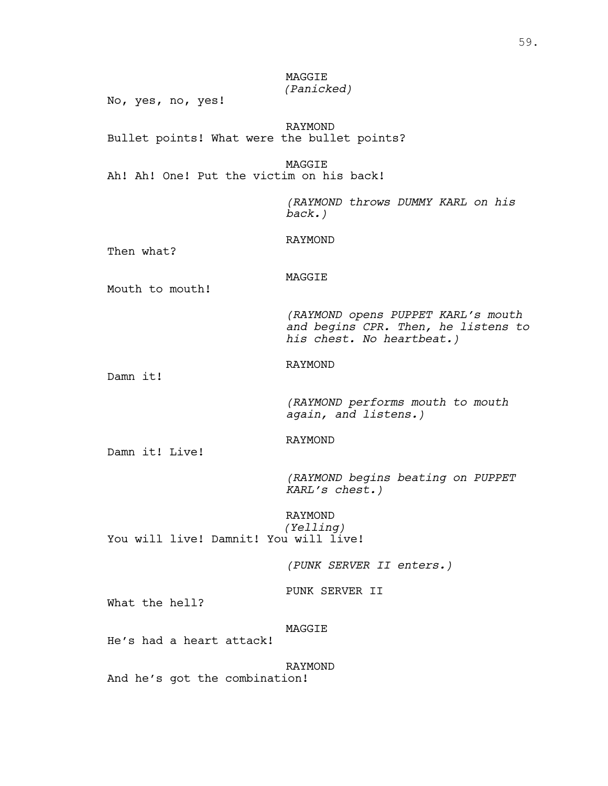# MAGGIE *(Panicked)*

No, yes, no, yes!

RAYMOND Bullet points! What were the bullet points?

MAGGIE Ah! Ah! One! Put the victim on his back!

> *(RAYMOND throws DUMMY KARL on his back.)*

# RAYMOND

Then what?

# MAGGIE

Mouth to mouth!

*(RAYMOND opens PUPPET KARL's mouth and begins CPR. Then, he listens to his chest. No heartbeat.)*

# RAYMOND

Damn it!

*(RAYMOND performs mouth to mouth again, and listens.)*

# RAYMOND

Damn it! Live!

*(RAYMOND begins beating on PUPPET KARL's chest.)*

RAYMOND *(Yelling)* You will live! Damnit! You will live!

*(PUNK SERVER II enters.)*

PUNK SERVER II

What the hell?

# MAGGIE

He's had a heart attack!

RAYMOND

And he's got the combination!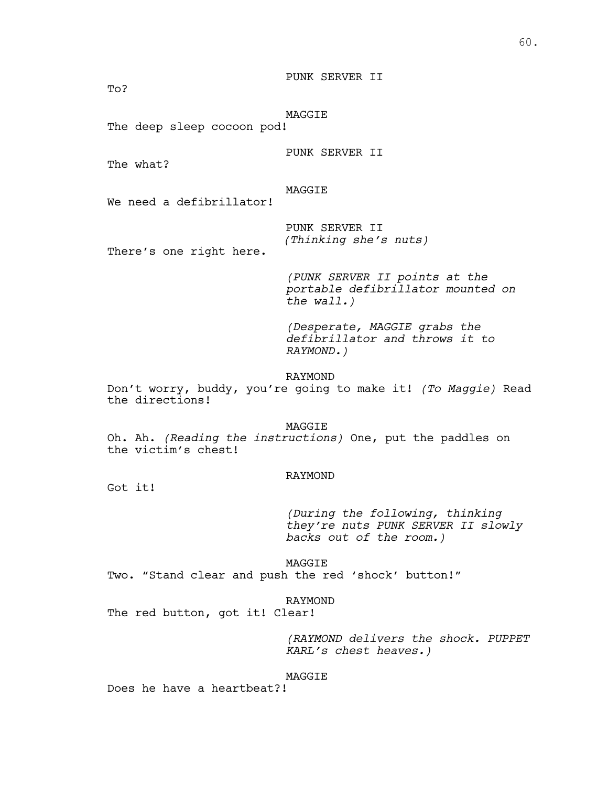PUNK SERVER II

To?

MAGGIE

The deep sleep cocoon pod!

PUNK SERVER II

The what?

# MAGGIE

We need a defibrillator!

PUNK SERVER II *(Thinking she's nuts)*

There's one right here.

*(PUNK SERVER II points at the portable defibrillator mounted on the wall.)*

*(Desperate, MAGGIE grabs the defibrillator and throws it to RAYMOND.)*

RAYMOND

Don't worry, buddy, you're going to make it! *(To Maggie)* Read the directions!

MAGGIE

Oh. Ah. *(Reading the instructions)* One, put the paddles on the victim's chest!

#### RAYMOND

Got it!

*(During the following, thinking they're nuts PUNK SERVER II slowly backs out of the room.)*

MAGGIE Two. "Stand clear and push the red 'shock' button!"

RAYMOND

The red button, got it! Clear!

*(RAYMOND delivers the shock. PUPPET KARL's chest heaves.)*

#### MAGGIE

Does he have a heartbeat?!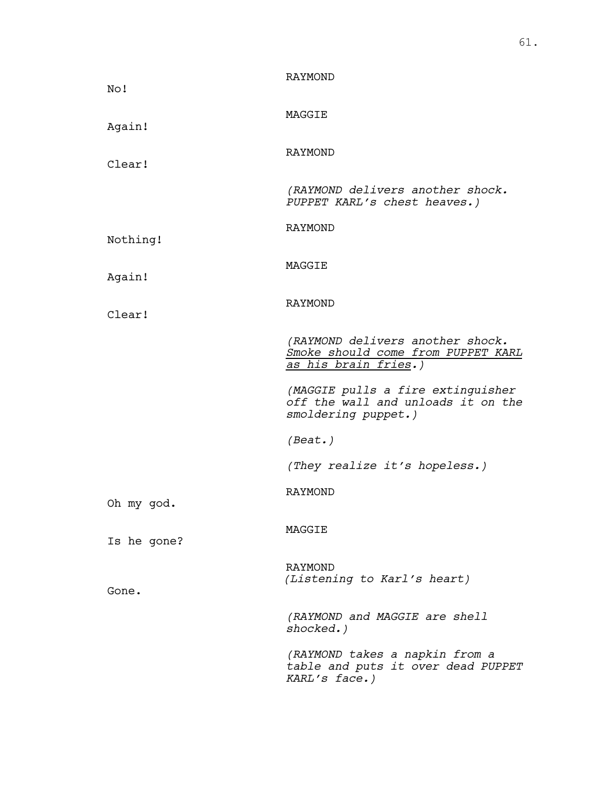| No!         | RAYMOND                                                                                                |
|-------------|--------------------------------------------------------------------------------------------------------|
| Again!      | MAGGIE                                                                                                 |
| Clear!      | RAYMOND                                                                                                |
|             | (RAYMOND delivers another shock.<br>PUPPET KARL's chest heaves.)                                       |
| Nothing!    | RAYMOND                                                                                                |
| Again!      | MAGGIE                                                                                                 |
| Clear!      | RAYMOND                                                                                                |
|             | (RAYMOND delivers another shock.<br>Smoke should come from PUPPET KARL<br><u>as his brain fries</u> .) |
|             | (MAGGIE pulls a fire extinguisher<br>off the wall and unloads it on the<br>smoldering puppet.)         |
|             | (Beat.)                                                                                                |
|             | (They realize it's hopeless.)                                                                          |
| Oh my god.  | RAYMOND                                                                                                |
| Is he gone? | MAGGIE                                                                                                 |
| Gone.       | RAYMOND<br>(Listening to Karl's heart)                                                                 |
|             | (RAYMOND and MAGGIE are shell<br>shocked.)                                                             |
|             | (RAYMOND takes a napkin from a<br>table and puts it over dead PUPPET<br>KARL's face.)                  |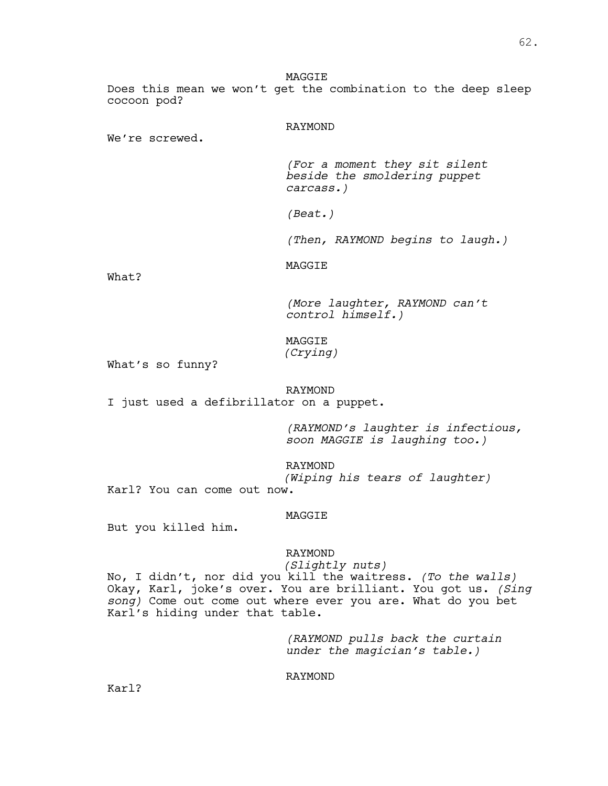MAGGIE Does this mean we won't get the combination to the deep sleep cocoon pod?

# RAYMOND

We're screwed.

*(For a moment they sit silent beside the smoldering puppet carcass.)*

*(Beat.)*

*(Then, RAYMOND begins to laugh.)*

MAGGIE

What?

*(More laughter, RAYMOND can't control himself.)*

MAGGIE *(Crying)*

What's so funny?

# RAYMOND

I just used a defibrillator on a puppet.

*(RAYMOND's laughter is infectious, soon MAGGIE is laughing too.)*

RAYMOND *(Wiping his tears of laughter)* Karl? You can come out now.

#### MAGGIE

But you killed him.

RAYMOND

*(Slightly nuts)*

No, I didn't, nor did you kill the waitress. *(To the walls)* Okay, Karl, joke's over. You are brilliant. You got us. *(Sing song)* Come out come out where ever you are. What do you bet Karl's hiding under that table.

> *(RAYMOND pulls back the curtain under the magician's table.)*

RAYMOND

Karl?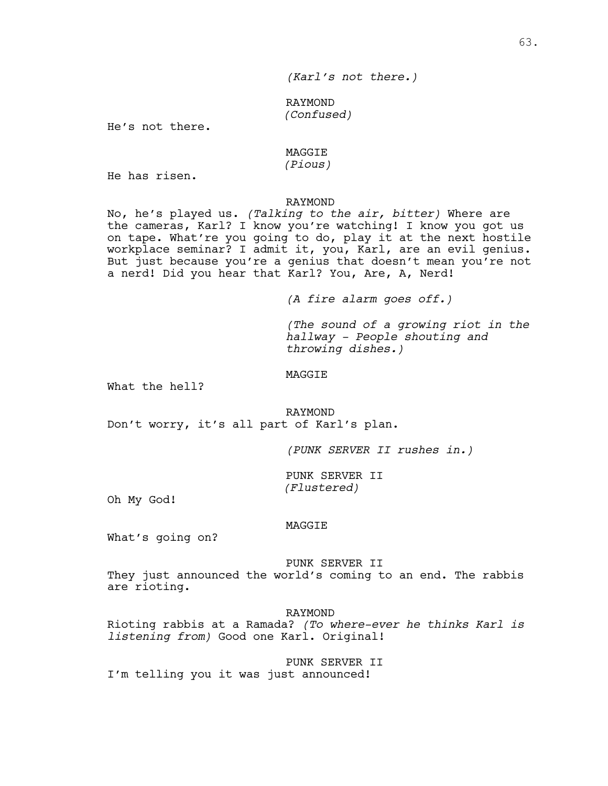# RAYMOND *(Confused)*

He's not there.

# MAGGIE

# *(Pious)*

He has risen.

#### RAYMOND

No, he's played us. *(Talking to the air, bitter)* Where are the cameras, Karl? I know you're watching! I know you got us on tape. What're you going to do, play it at the next hostile workplace seminar? I admit it, you, Karl, are an evil genius. But just because you're a genius that doesn't mean you're not a nerd! Did you hear that Karl? You, Are, A, Nerd!

*(A fire alarm goes off.)*

*(The sound of a growing riot in the hallway - People shouting and throwing dishes.)*

MAGGIE

What the hell?

RAYMOND Don't worry, it's all part of Karl's plan.

*(PUNK SERVER II rushes in.)*

PUNK SERVER II *(Flustered)*

Oh My God!

#### MAGGIE

What's going on?

#### PUNK SERVER II

They just announced the world's coming to an end. The rabbis are rioting.

RAYMOND

Rioting rabbis at a Ramada? *(To where-ever he thinks Karl is listening from)* Good one Karl. Original!

PUNK SERVER II I'm telling you it was just announced!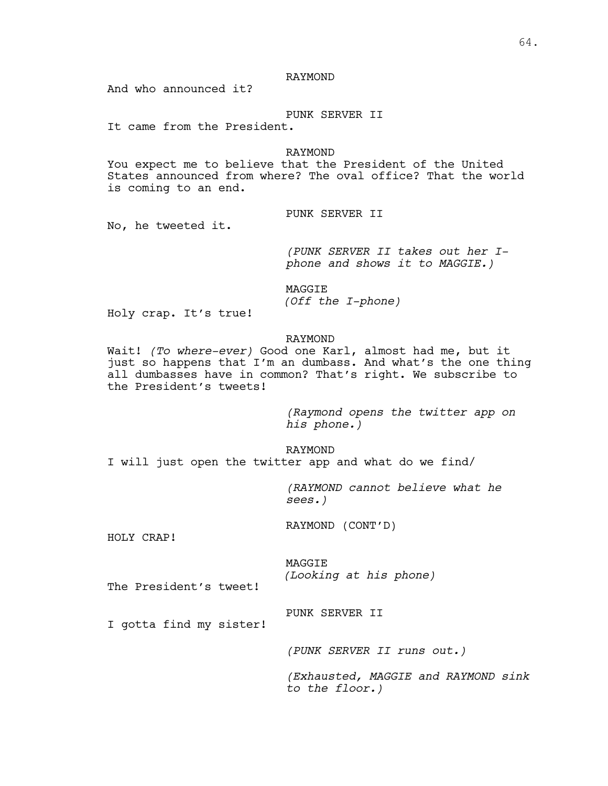# RAYMOND

And who announced it?

# PUNK SERVER II

It came from the President.

#### RAYMOND

You expect me to believe that the President of the United States announced from where? The oval office? That the world is coming to an end.

PUNK SERVER II

No, he tweeted it.

*(PUNK SERVER II takes out her I- phone and shows it to MAGGIE.)*

MAGGIE *(Off the I-phone)*

Holy crap. It's true!

#### RAYMOND

Wait! *(To where-ever)* Good one Karl, almost had me, but it just so happens that I'm an dumbass. And what's the one thing all dumbasses have in common? That's right. We subscribe to the President's tweets!

> *(Raymond opens the twitter app on his phone.)*

RAYMOND I will just open the twitter app and what do we find/

> *(RAYMOND cannot believe what he sees.)*

RAYMOND (CONT'D)

HOLY CRAP!

MAGGIE *(Looking at his phone)*

The President's tweet!

PUNK SERVER II

I gotta find my sister!

*(PUNK SERVER II runs out.)*

*(Exhausted, MAGGIE and RAYMOND sink to the floor.)*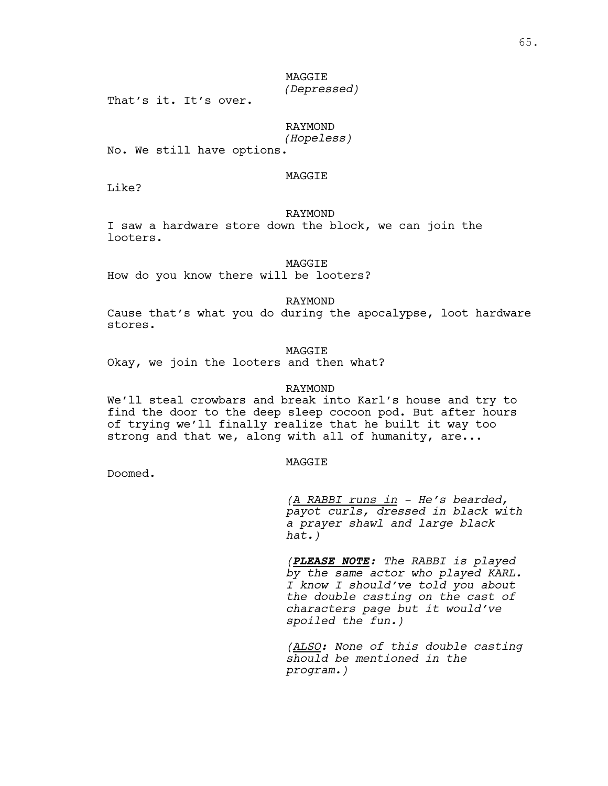# MAGGIE *(Depressed)*

That's it. It's over.

# RAYMOND

*(Hopeless)*

No. We still have options.

# MAGGIE

Like?

#### RAYMOND

I saw a hardware store down the block, we can join the looters.

MAGGIE

How do you know there will be looters?

RAYMOND

Cause that's what you do during the apocalypse, loot hardware stores.

MAGGIE

Okay, we join the looters and then what?

#### RAYMOND

We'll steal crowbars and break into Karl's house and try to find the door to the deep sleep cocoon pod. But after hours of trying we'll finally realize that he built it way too strong and that we, along with all of humanity, are...

#### **MAGGTE**

Doomed.

*(A RABBI runs in - He's bearded, payot curls, dressed in black with a prayer shawl and large black hat.)*

*(PLEASE NOTE: The RABBI is played by the same actor who played KARL. I know I should've told you about the double casting on the cast of characters page but it would've spoiled the fun.)*

*(ALSO: None of this double casting should be mentioned in the program.)*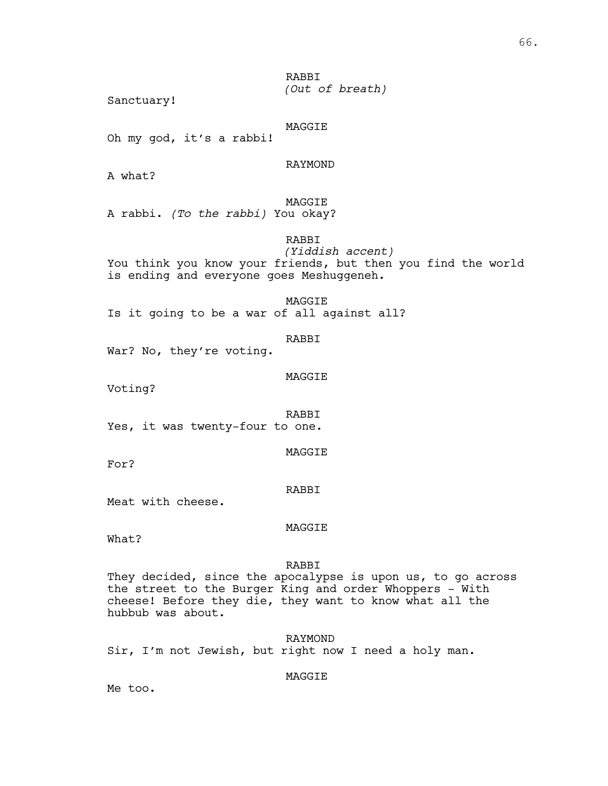RABBI *(Out of breath)*

Sanctuary!

MAGGIE

Oh my god, it's a rabbi!

RAYMOND

A what?

MAGGIE

A rabbi. *(To the rabbi)* You okay?

RABBI

*(Yiddish accent)* You think you know your friends, but then you find the world is ending and everyone goes Meshuggeneh.

MAGGIE Is it going to be a war of all against all?

RABBI

War? No, they're voting.

MAGGIE

Voting?

RABBI Yes, it was twenty-four to one.

MAGGIE

For?

#### RABBI

Meat with cheese.

MAGGIE

What?

#### RABBI

They decided, since the apocalypse is upon us, to go across the street to the Burger King and order Whoppers - With cheese! Before they die, they want to know what all the hubbub was about.

RAYMOND Sir, I'm not Jewish, but right now I need a holy man.

MAGGIE

Me too.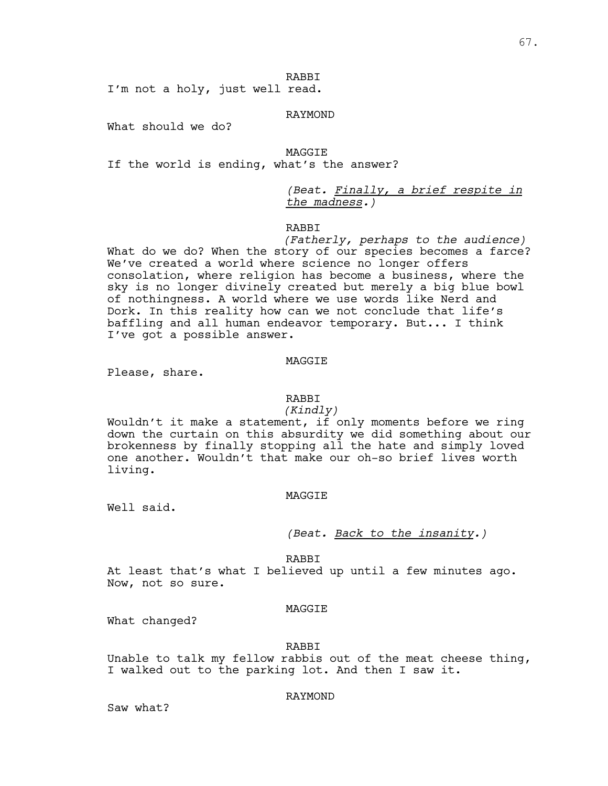RABBI

I'm not a holy, just well read.

# RAYMOND

What should we do?

MAGGIE

If the world is ending, what's the answer?

*(Beat. Finally, a brief respite in the madness.)*

# RABBI

*(Fatherly, perhaps to the audience)* What do we do? When the story of our species becomes a farce? We've created a world where science no longer offers consolation, where religion has become a business, where the sky is no longer divinely created but merely a big blue bowl of nothingness. A world where we use words like Nerd and Dork. In this reality how can we not conclude that life's baffling and all human endeavor temporary. But... I think I've got a possible answer.

#### MAGGIE

Please, share.

# RABBI

#### *(Kindly)*

Wouldn't it make a statement, if only moments before we ring down the curtain on this absurdity we did something about our brokenness by finally stopping all the hate and simply loved one another. Wouldn't that make our oh-so brief lives worth living.

#### MAGGIE

Well said.

*(Beat. Back to the insanity.)*

RABBI

At least that's what I believed up until a few minutes ago. Now, not so sure.

#### MAGGIE

What changed?

#### RABBI

Unable to talk my fellow rabbis out of the meat cheese thing, I walked out to the parking lot. And then I saw it.

#### RAYMOND

Saw what?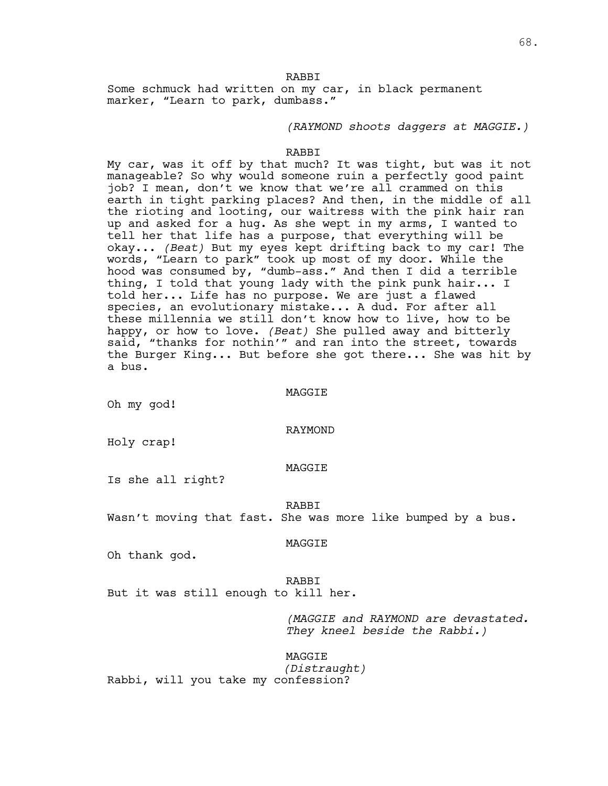RABBI Some schmuck had written on my car, in black permanent marker, "Learn to park, dumbass."

*(RAYMOND shoots daggers at MAGGIE.)*

#### RABBI

My car, was it off by that much? It was tight, but was it not manageable? So why would someone ruin a perfectly good paint job? I mean, don't we know that we're all crammed on this earth in tight parking places? And then, in the middle of all the rioting and looting, our waitress with the pink hair ran up and asked for a hug. As she wept in my arms, I wanted to tell her that life has a purpose, that everything will be okay... *(Beat)* But my eyes kept drifting back to my car! The words, "Learn to park" took up most of my door. While the hood was consumed by, "dumb-ass." And then I did a terrible thing, I told that young lady with the pink punk hair... I told her... Life has no purpose. We are just a flawed species, an evolutionary mistake... A dud. For after all these millennia we still don't know how to live, how to be happy, or how to love. *(Beat)* She pulled away and bitterly said, "thanks for nothin'" and ran into the street, towards the Burger King... But before she got there... She was hit by a bus.

#### MAGGIE

Oh my god!

#### RAYMOND

Holy crap!

#### MAGGIE

Is she all right?

#### RABBI

Wasn't moving that fast. She was more like bumped by a bus.

#### MAGGIE

Oh thank god.

#### RABBI

But it was still enough to kill her.

*(MAGGIE and RAYMOND are devastated. They kneel beside the Rabbi.)*

MAGGIE *(Distraught)* Rabbi, will you take my confession?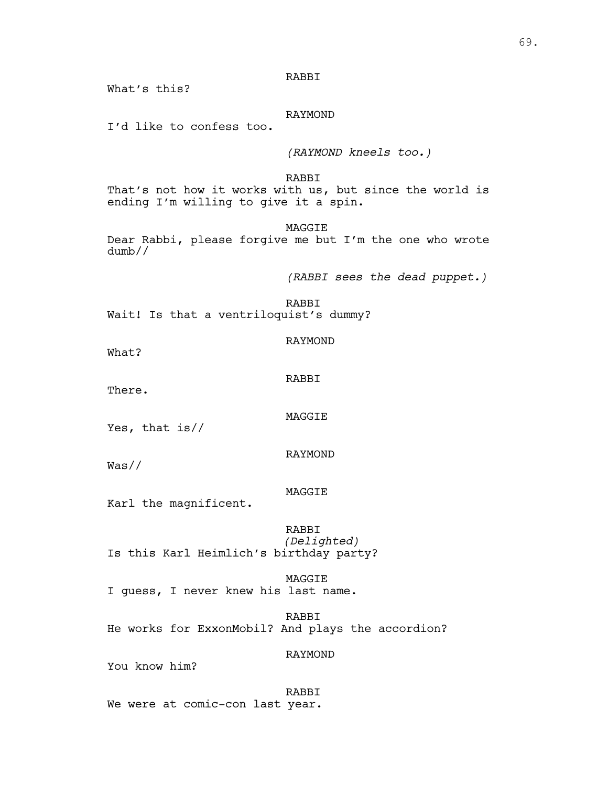RABBI

What's this?

RAYMOND

I'd like to confess too.

*(RAYMOND kneels too.)*

RABBI That's not how it works with us, but since the world is ending I'm willing to give it a spin.

MAGGIE

Dear Rabbi, please forgive me but I'm the one who wrote dumb//

*(RABBI sees the dead puppet.)*

RABBI Wait! Is that a ventriloquist's dummy?

What?

RABBI

RAYMOND

There.

MAGGIE

Yes, that is//

RAYMOND

Was//

MAGGIE

Karl the magnificent.

RABBI *(Delighted)* Is this Karl Heimlich's birthday party?

MAGGIE I guess, I never knew his last name.

RABBI He works for ExxonMobil? And plays the accordion?

RAYMOND

You know him?

RABBI We were at comic-con last year.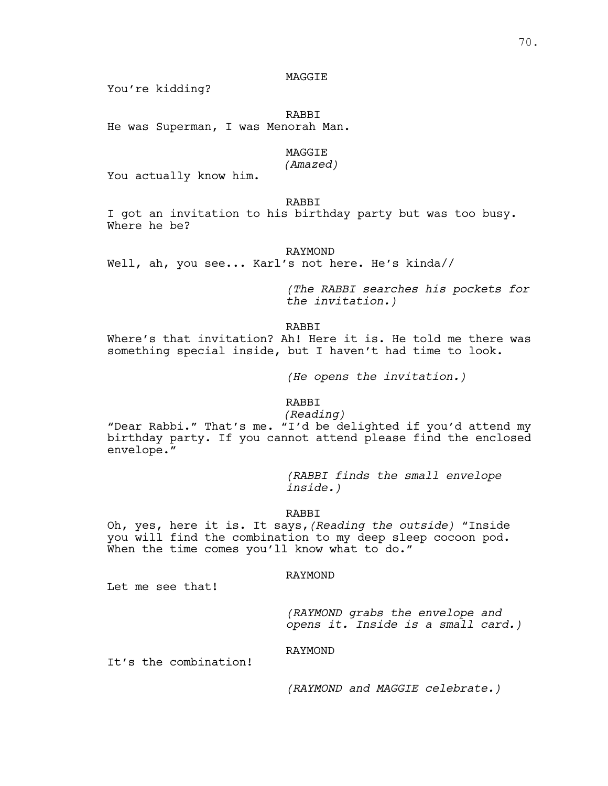#### MAGGIE

You're kidding?

RABBI He was Superman, I was Menorah Man.

#### MAGGIE

## *(Amazed)*

You actually know him.

RABBI

I got an invitation to his birthday party but was too busy. Where he be?

#### RAYMOND

Well, ah, you see... Karl's not here. He's kinda//

*(The RABBI searches his pockets for the invitation.)*

RABBI

Where's that invitation? Ah! Here it is. He told me there was something special inside, but I haven't had time to look.

*(He opens the invitation.)*

RABBI<br>(Reading)

*(Reading)* "Dear Rabbi." That's me. "I'd be delighted if you'd attend my birthday party. If you cannot attend please find the enclosed envelope."

> *(RABBI finds the small envelope inside.)*

RABBI

Oh, yes, here it is. It says,*(Reading the outside)* "Inside you will find the combination to my deep sleep cocoon pod. When the time comes you'll know what to do."

## RAYMOND

Let me see that!

*(RAYMOND grabs the envelope and opens it. Inside is a small card.)*

RAYMOND

It's the combination!

*(RAYMOND and MAGGIE celebrate.)*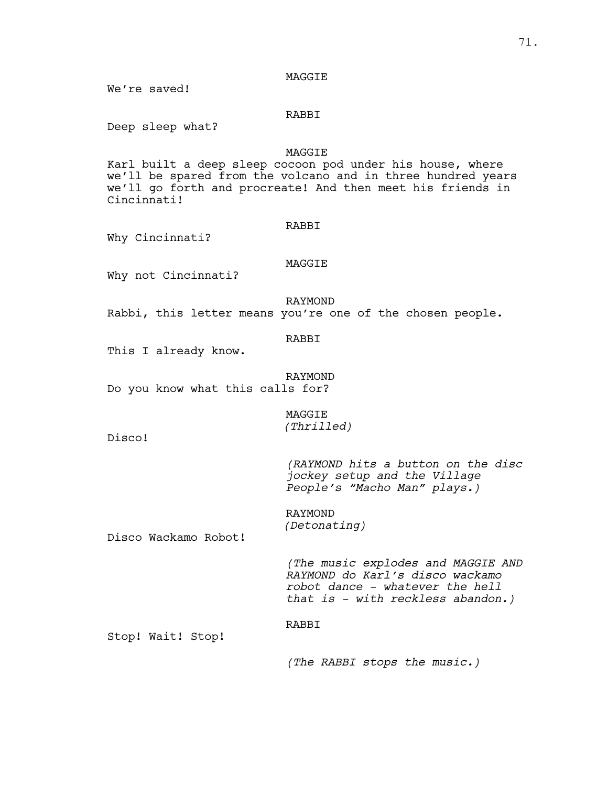#### MAGGIE

We're saved!

## RABBI

Deep sleep what?

#### MAGGIE

Karl built a deep sleep cocoon pod under his house, where we'll be spared from the volcano and in three hundred years we'll go forth and procreate! And then meet his friends in Cincinnati!

#### RABBI

Why Cincinnati?

#### MAGGIE

Why not Cincinnati?

RAYMOND

Rabbi, this letter means you're one of the chosen people.

#### RABBI

This I already know.

#### RAYMOND

Do you know what this calls for?

## MAGGIE *(Thrilled)*

Disco!

*(RAYMOND hits a button on the disc jockey setup and the Village People's "Macho Man" plays.)*

RAYMOND *(Detonating)*

Disco Wackamo Robot!

*(The music explodes and MAGGIE AND RAYMOND do Karl's disco wackamo robot dance - whatever the hell that is - with reckless abandon.)*

#### RABBI

Stop! Wait! Stop!

*(The RABBI stops the music.)*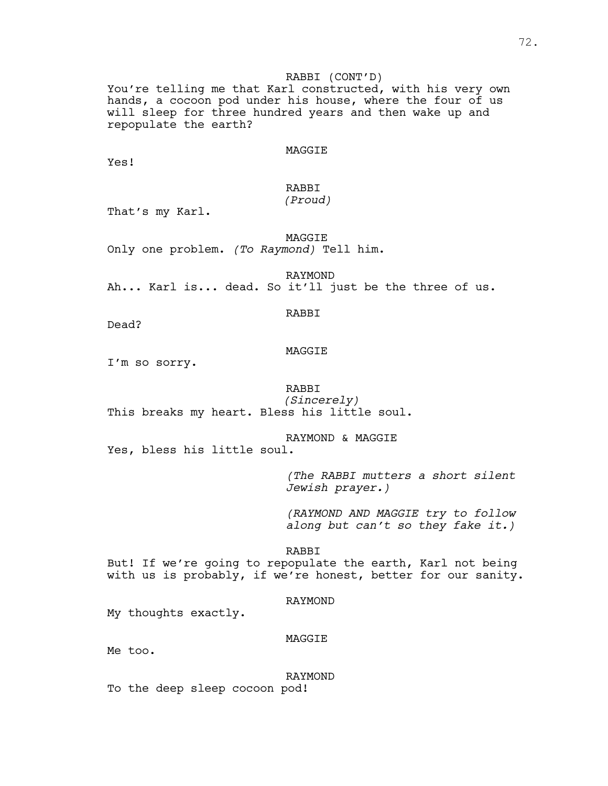#### RABBI (CONT'D)

You're telling me that Karl constructed, with his very own hands, a cocoon pod under his house, where the four of us will sleep for three hundred years and then wake up and repopulate the earth?

#### MAGGIE

Yes!

# RABBI

## *(Proud)*

That's my Karl.

MAGGIE Only one problem. *(To Raymond)* Tell him.

RAYMOND Ah... Karl is... dead. So it'll just be the three of us.

RABBI

Dead?

# MAGGIE

I'm so sorry.

#### RABBI

*(Sincerely)* This breaks my heart. Bless his little soul.

RAYMOND & MAGGIE Yes, bless his little soul.

> *(The RABBI mutters a short silent Jewish prayer.)*

> *(RAYMOND AND MAGGIE try to follow along but can't so they fake it.)*

#### RABBI

But! If we're going to repopulate the earth, Karl not being with us is probably, if we're honest, better for our sanity.

#### RAYMOND

My thoughts exactly.

#### MAGGIE

Me too.

RAYMOND To the deep sleep cocoon pod!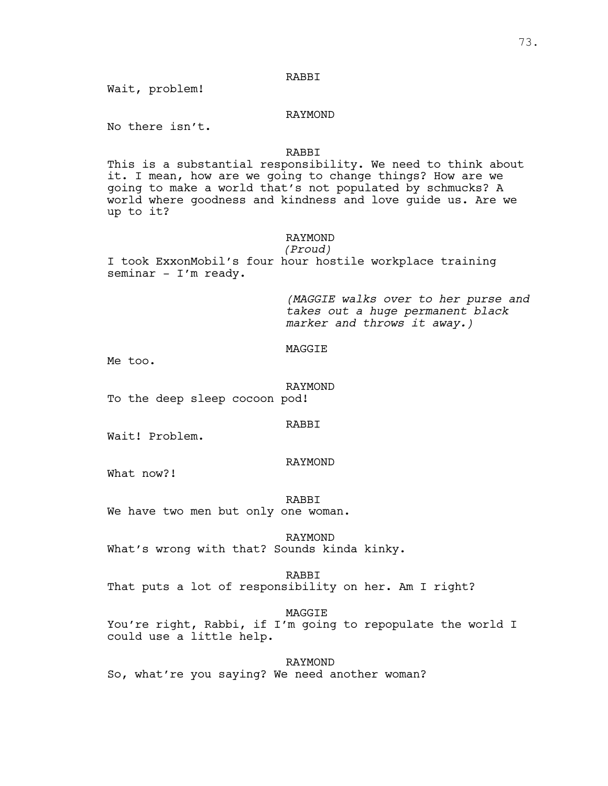#### RABBI

Wait, problem!

#### RAYMOND

No there isn't.

#### RABBI

This is a substantial responsibility. We need to think about it. I mean, how are we going to change things? How are we going to make a world that's not populated by schmucks? A world where goodness and kindness and love guide us. Are we up to it?

#### RAYMOND

*(Proud)* I took ExxonMobil's four hour hostile workplace training seminar - I'm ready.

> *(MAGGIE walks over to her purse and takes out a huge permanent black marker and throws it away.)*

#### MAGGIE

Me too.

#### RAYMOND

To the deep sleep cocoon pod!

#### RABBI

Wait! Problem.

#### RAYMOND

What now?!

#### RABBI

We have two men but only one woman.

#### RAYMOND

What's wrong with that? Sounds kinda kinky.

#### RABBI

That puts a lot of responsibility on her. Am I right?

#### MAGGIE

You're right, Rabbi, if I'm going to repopulate the world I could use a little help.

RAYMOND So, what're you saying? We need another woman?